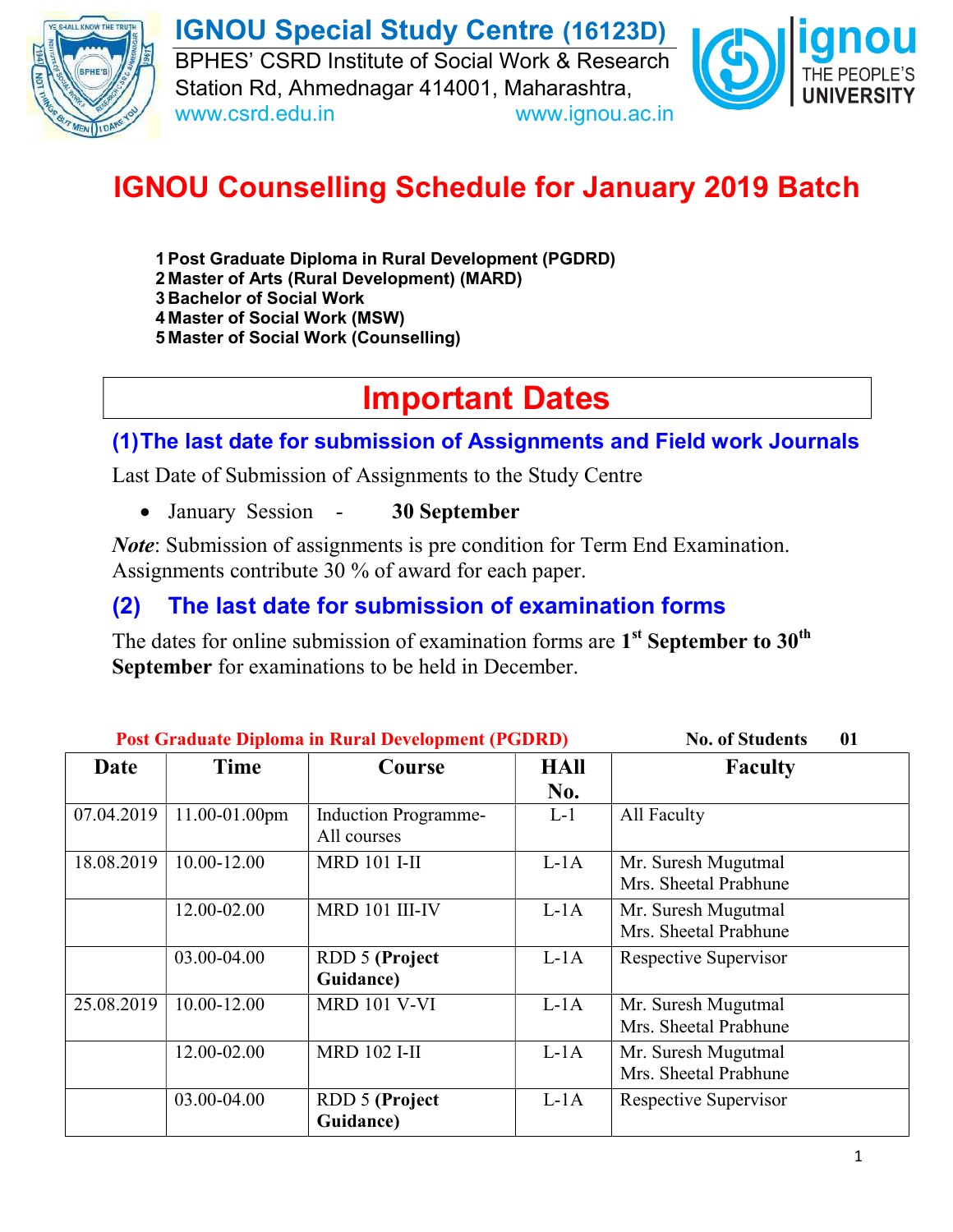

IGNOU Special Study Centre (16123D) BPHES' CSRD Institute of Social Work & Research Station Rd, Ahmednagar 414001, Maharashtra, www.csrd.edu.in www.ignou.ac.in



# IGNOU Counselling Schedule for January 2019 Batch

- 1 Post Graduate Diploma in Rural Development (PGDRD)
- 2 Master of Arts (Rural Development) (MARD)
- 3 Bachelor of Social Work
- 4 Master of Social Work (MSW)
- 5 Master of Social Work (Counselling)

# Important Dates

# (1) The last date for submission of Assignments and Field work Journals

Last Date of Submission of Assignments to the Study Centre

• January Session - 30 September

Note: Submission of assignments is pre condition for Term End Examination. Assignments contribute 30 % of award for each paper.

# (2) The last date for submission of examination forms

The dates for online submission of examination forms are  $1^{st}$  September to  $30^{th}$ September for examinations to be held in December.

| <b>Post Graduate Diploma in Rural Development (PGDRD)</b> |               |                                            |                    | <b>No. of Students</b><br>01                 |
|-----------------------------------------------------------|---------------|--------------------------------------------|--------------------|----------------------------------------------|
| Date                                                      | Time          | Course                                     | <b>HAll</b><br>No. | <b>Faculty</b>                               |
| 07.04.2019                                                | 11.00-01.00pm | <b>Induction Programme-</b><br>All courses | $L-1$              | All Faculty                                  |
| 18.08.2019                                                | 10.00-12.00   | <b>MRD 101 I-II</b>                        | $L-1A$             | Mr. Suresh Mugutmal<br>Mrs. Sheetal Prabhune |
|                                                           | 12.00-02.00   | MRD 101 III-IV                             | $L-1A$             | Mr. Suresh Mugutmal<br>Mrs. Sheetal Prabhune |
|                                                           | 03.00-04.00   | <b>RDD 5 (Project</b><br>Guidance)         | $L-1A$             | Respective Supervisor                        |
| 25.08.2019                                                | 10.00-12.00   | <b>MRD 101 V-VI</b>                        | $L-1A$             | Mr. Suresh Mugutmal<br>Mrs. Sheetal Prabhune |
|                                                           | 12.00-02.00   | <b>MRD 102 I-II</b>                        | $L-1A$             | Mr. Suresh Mugutmal<br>Mrs. Sheetal Prabhune |
|                                                           | 03.00-04.00   | <b>RDD 5 (Project</b><br>Guidance)         | $L-1A$             | Respective Supervisor                        |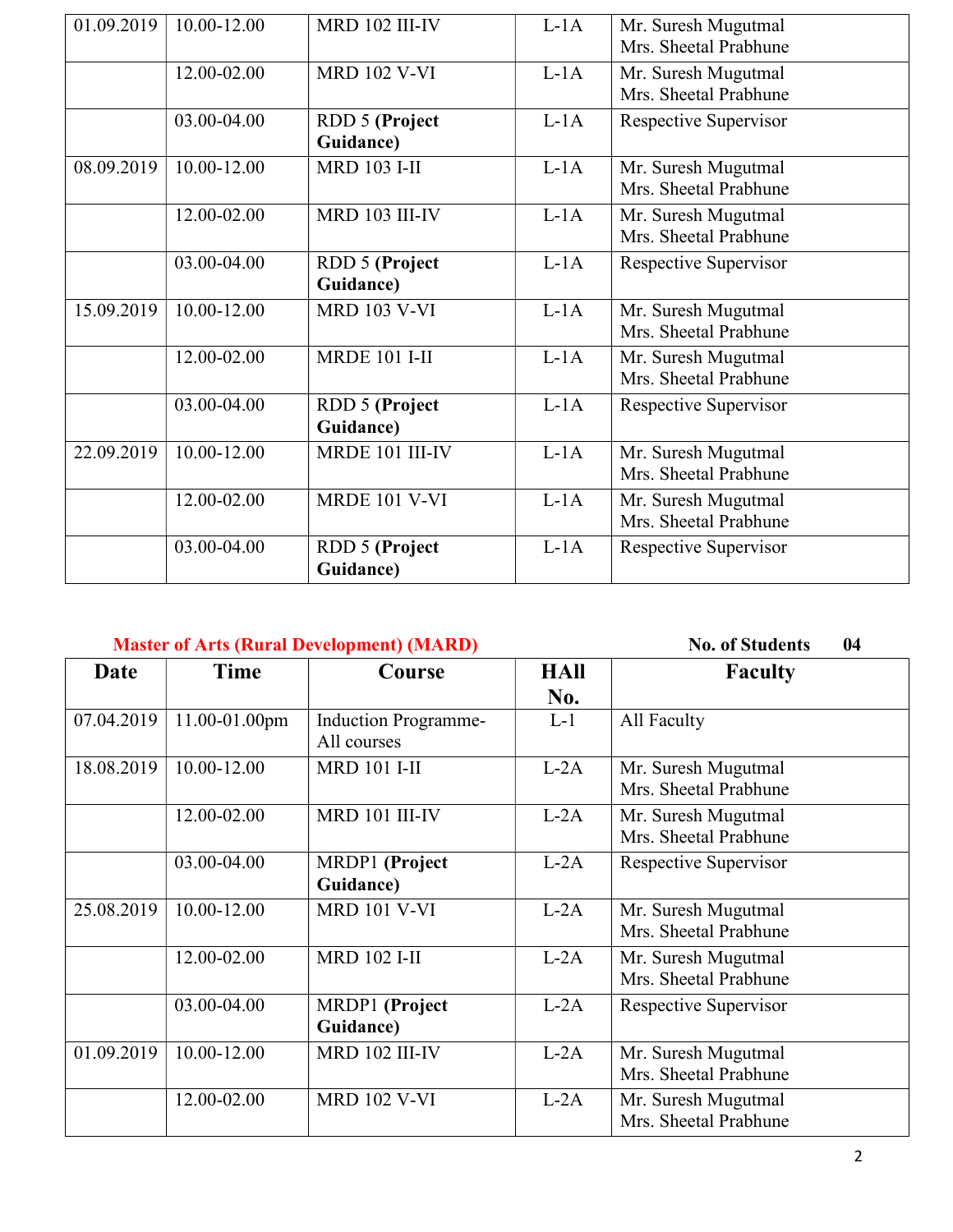| 01.09.2019 | 10.00-12.00 | <b>MRD 102 III-IV</b>              | $L-1A$ | Mr. Suresh Mugutmal<br>Mrs. Sheetal Prabhune |
|------------|-------------|------------------------------------|--------|----------------------------------------------|
|            | 12.00-02.00 | <b>MRD 102 V-VI</b>                | $L-1A$ | Mr. Suresh Mugutmal<br>Mrs. Sheetal Prabhune |
|            | 03.00-04.00 | <b>RDD 5 (Project</b><br>Guidance) | $L-1A$ | Respective Supervisor                        |
| 08.09.2019 | 10.00-12.00 | <b>MRD 103 I-II</b>                | $L-1A$ | Mr. Suresh Mugutmal<br>Mrs. Sheetal Prabhune |
|            | 12.00-02.00 | <b>MRD 103 III-IV</b>              | $L-1A$ | Mr. Suresh Mugutmal<br>Mrs. Sheetal Prabhune |
|            | 03.00-04.00 | <b>RDD 5 (Project</b><br>Guidance) | $L-1A$ | Respective Supervisor                        |
| 15.09.2019 | 10.00-12.00 | <b>MRD 103 V-VI</b>                | $L-1A$ | Mr. Suresh Mugutmal<br>Mrs. Sheetal Prabhune |
|            | 12.00-02.00 | <b>MRDE 101 I-II</b>               | $L-1A$ | Mr. Suresh Mugutmal<br>Mrs. Sheetal Prabhune |
|            | 03.00-04.00 | RDD 5 (Project<br>Guidance)        | $L-1A$ | Respective Supervisor                        |
| 22.09.2019 | 10.00-12.00 | MRDE 101 III-IV                    | $L-1A$ | Mr. Suresh Mugutmal<br>Mrs. Sheetal Prabhune |
|            | 12.00-02.00 | <b>MRDE 101 V-VI</b>               | $L-1A$ | Mr. Suresh Mugutmal<br>Mrs. Sheetal Prabhune |
|            | 03.00-04.00 | <b>RDD 5 (Project</b><br>Guidance) | $L-1A$ | Respective Supervisor                        |

### Master of Arts (Rural Development) (MARD) No. of Students 04

| Date       | Time          | Course                                     | HAll<br>No. | <b>Faculty</b>                               |
|------------|---------------|--------------------------------------------|-------------|----------------------------------------------|
| 07.04.2019 | 11.00-01.00pm | <b>Induction Programme-</b><br>All courses | $L-1$       | All Faculty                                  |
| 18.08.2019 | 10.00-12.00   | <b>MRD 101 I-II</b>                        | $L-2A$      | Mr. Suresh Mugutmal<br>Mrs. Sheetal Prabhune |
|            | 12.00-02.00   | MRD 101 III-IV                             | $L-2A$      | Mr. Suresh Mugutmal<br>Mrs. Sheetal Prabhune |
|            | 03.00-04.00   | MRDP1 (Project<br>Guidance)                | $L-2A$      | Respective Supervisor                        |
| 25.08.2019 | 10.00-12.00   | <b>MRD 101 V-VI</b>                        | $L-2A$      | Mr. Suresh Mugutmal<br>Mrs. Sheetal Prabhune |
|            | 12.00-02.00   | <b>MRD 102 I-II</b>                        | $L-2A$      | Mr. Suresh Mugutmal<br>Mrs. Sheetal Prabhune |
|            | 03.00-04.00   | MRDP1 (Project<br>Guidance)                | $L-2A$      | Respective Supervisor                        |
| 01.09.2019 | 10.00-12.00   | MRD 102 III-IV                             | $L-2A$      | Mr. Suresh Mugutmal<br>Mrs. Sheetal Prabhune |
|            | 12.00-02.00   | <b>MRD 102 V-VI</b>                        | $L-2A$      | Mr. Suresh Mugutmal<br>Mrs. Sheetal Prabhune |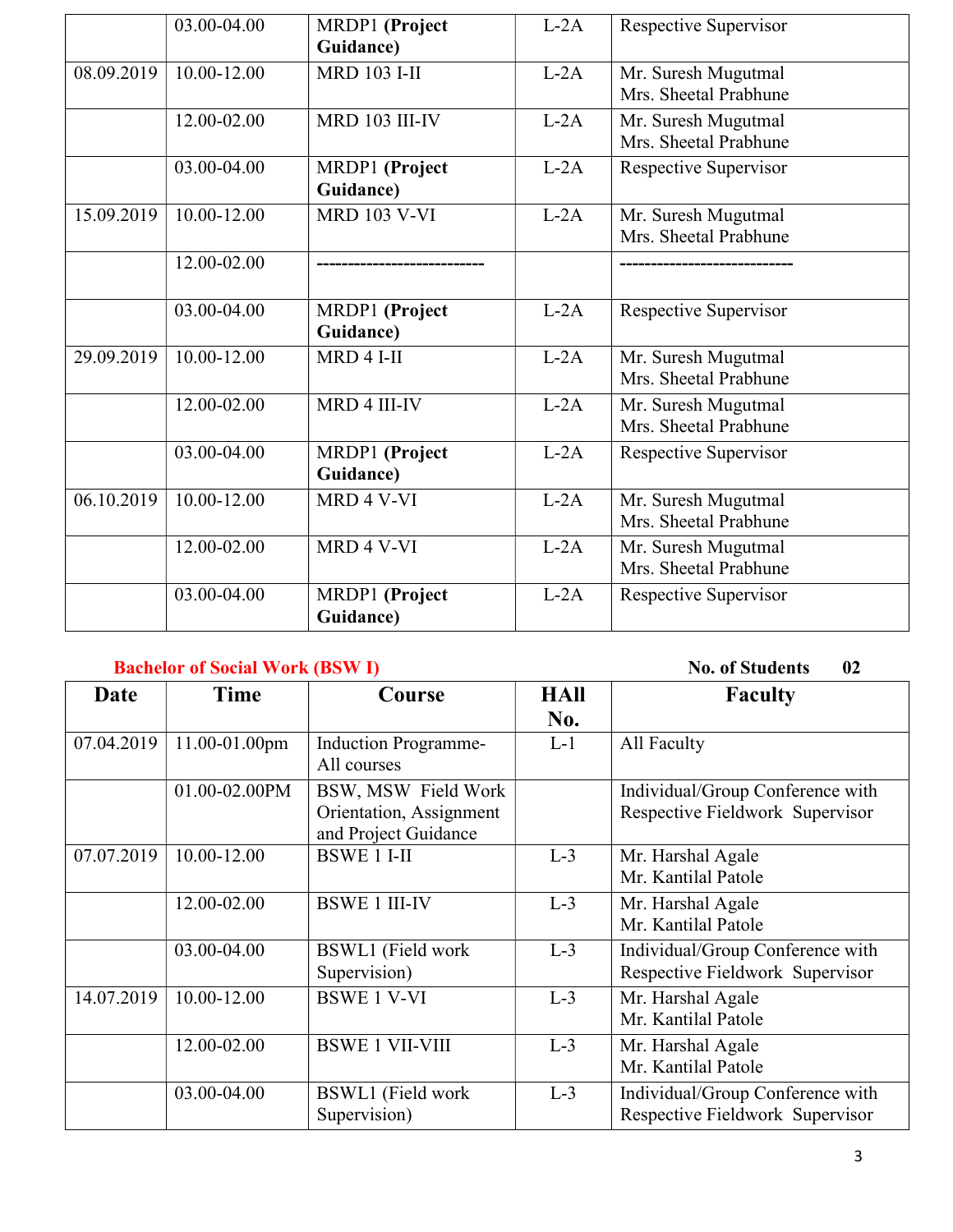|            | 03.00-04.00     | MRDP1 (Project<br>Guidance) | $L-2A$ | Respective Supervisor                        |
|------------|-----------------|-----------------------------|--------|----------------------------------------------|
| 08.09.2019 | $10.00 - 12.00$ | <b>MRD 103 I-II</b>         | $L-2A$ | Mr. Suresh Mugutmal<br>Mrs. Sheetal Prabhune |
|            | 12.00-02.00     | MRD 103 III-IV              | $L-2A$ | Mr. Suresh Mugutmal<br>Mrs. Sheetal Prabhune |
|            | 03.00-04.00     | MRDP1 (Project<br>Guidance) | $L-2A$ | Respective Supervisor                        |
| 15.09.2019 | 10.00-12.00     | <b>MRD 103 V-VI</b>         | $L-2A$ | Mr. Suresh Mugutmal<br>Mrs. Sheetal Prabhune |
|            | 12.00-02.00     |                             |        |                                              |
|            | 03.00-04.00     | MRDP1 (Project<br>Guidance) | $L-2A$ | Respective Supervisor                        |
| 29.09.2019 | 10.00-12.00     | MRD 4 I-II                  | $L-2A$ | Mr. Suresh Mugutmal<br>Mrs. Sheetal Prabhune |
|            | 12.00-02.00     | MRD 4 III-IV                | $L-2A$ | Mr. Suresh Mugutmal<br>Mrs. Sheetal Prabhune |
|            | 03.00-04.00     | MRDP1 (Project<br>Guidance) | $L-2A$ | Respective Supervisor                        |
| 06.10.2019 | 10.00-12.00     | MRD 4 V-VI                  | $L-2A$ | Mr. Suresh Mugutmal<br>Mrs. Sheetal Prabhune |
|            | 12.00-02.00     | MRD 4 V-VI                  | $L-2A$ | Mr. Suresh Mugutmal<br>Mrs. Sheetal Prabhune |
|            | 03.00-04.00     | MRDP1 (Project<br>Guidance) | $L-2A$ | Respective Supervisor                        |

## Bachelor of Social Work (BSW I) No. of Students 02

| Date       | <b>Time</b>   | Course                                                                 | <b>HAII</b><br>No. | <b>Faculty</b>                                                      |
|------------|---------------|------------------------------------------------------------------------|--------------------|---------------------------------------------------------------------|
| 07.04.2019 | 11.00-01.00pm | <b>Induction Programme-</b><br>All courses                             | $L-1$              | All Faculty                                                         |
|            | 01.00-02.00PM | BSW, MSW Field Work<br>Orientation, Assignment<br>and Project Guidance |                    | Individual/Group Conference with<br>Respective Fieldwork Supervisor |
| 07.07.2019 | 10.00-12.00   | <b>BSWE 1 I-II</b>                                                     | $L-3$              | Mr. Harshal Agale<br>Mr. Kantilal Patole                            |
|            | 12.00-02.00   | <b>BSWE 1 III-IV</b>                                                   | $L-3$              | Mr. Harshal Agale<br>Mr. Kantilal Patole                            |
|            | 03.00-04.00   | BSWL1 (Field work<br>Supervision)                                      | $L-3$              | Individual/Group Conference with<br>Respective Fieldwork Supervisor |
| 14.07.2019 | 10.00-12.00   | <b>BSWE 1 V-VI</b>                                                     | $L-3$              | Mr. Harshal Agale<br>Mr. Kantilal Patole                            |
|            | 12.00-02.00   | <b>BSWE 1 VII-VIII</b>                                                 | $L-3$              | Mr. Harshal Agale<br>Mr. Kantilal Patole                            |
|            | 03.00-04.00   | BSWL1 (Field work<br>Supervision)                                      | $L-3$              | Individual/Group Conference with<br>Respective Fieldwork Supervisor |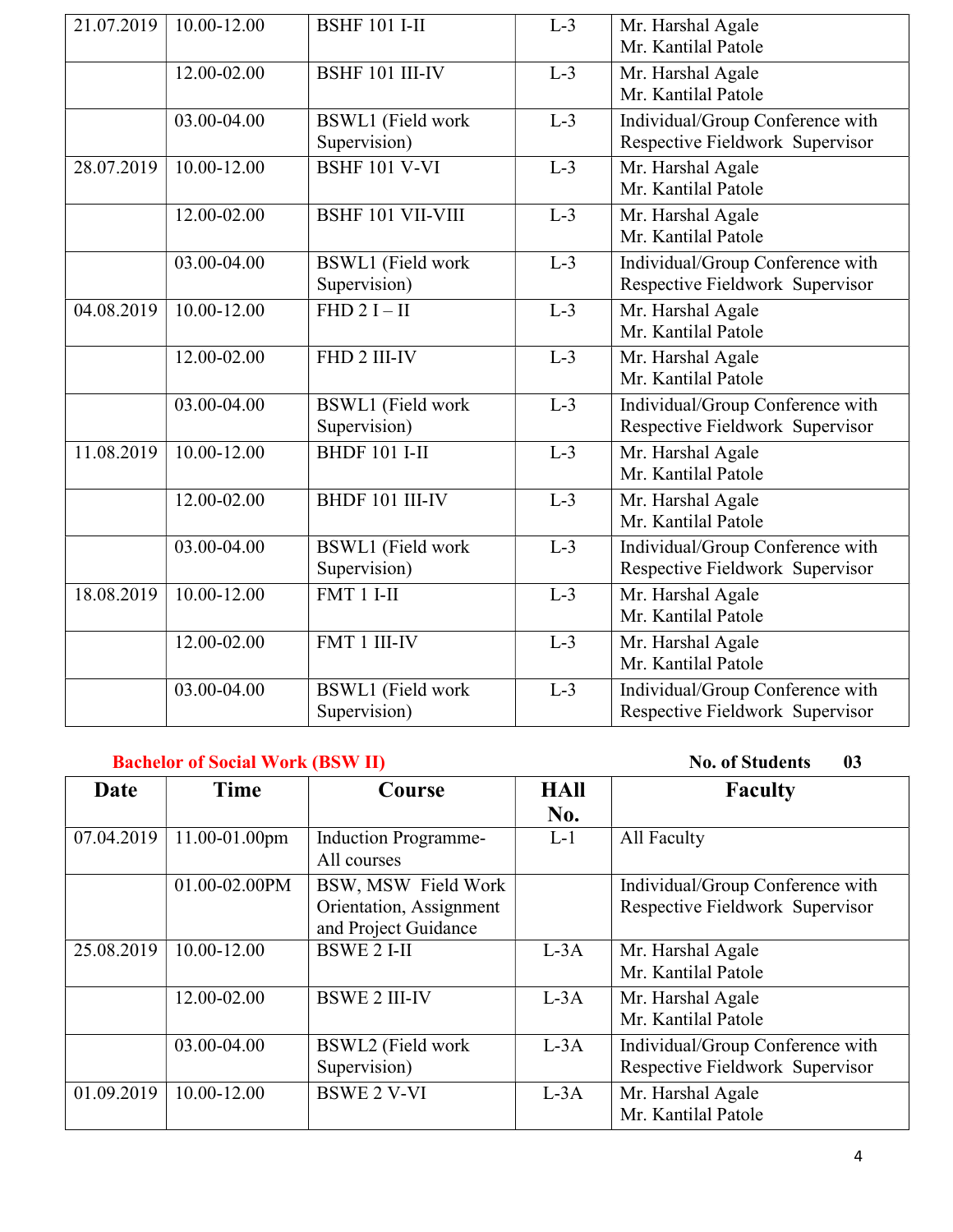| 21.07.2019 | 10.00-12.00     | <b>BSHF 101 I-II</b>                     | $L-3$ | Mr. Harshal Agale<br>Mr. Kantilal Patole                            |
|------------|-----------------|------------------------------------------|-------|---------------------------------------------------------------------|
|            | 12.00-02.00     | <b>BSHF 101 III-IV</b>                   | $L-3$ | Mr. Harshal Agale<br>Mr. Kantilal Patole                            |
|            | 03.00-04.00     | BSWL1 (Field work<br>Supervision)        | $L-3$ | Individual/Group Conference with<br>Respective Fieldwork Supervisor |
| 28.07.2019 | 10.00-12.00     | <b>BSHF 101 V-VI</b>                     | $L-3$ | Mr. Harshal Agale<br>Mr. Kantilal Patole                            |
|            | 12.00-02.00     | <b>BSHF 101 VII-VIII</b>                 | $L-3$ | Mr. Harshal Agale<br>Mr. Kantilal Patole                            |
|            | 03.00-04.00     | <b>BSWL1</b> (Field work<br>Supervision) | $L-3$ | Individual/Group Conference with<br>Respective Fieldwork Supervisor |
| 04.08.2019 | $10.00 - 12.00$ | FHD $2I - II$                            | $L-3$ | Mr. Harshal Agale<br>Mr. Kantilal Patole                            |
|            | 12.00-02.00     | FHD 2 III-IV                             | $L-3$ | Mr. Harshal Agale<br>Mr. Kantilal Patole                            |
|            | 03.00-04.00     | <b>BSWL1</b> (Field work<br>Supervision) | $L-3$ | Individual/Group Conference with<br>Respective Fieldwork Supervisor |
| 11.08.2019 | $10.00 - 12.00$ | <b>BHDF 101 I-II</b>                     | $L-3$ | Mr. Harshal Agale<br>Mr. Kantilal Patole                            |
|            | 12.00-02.00     | BHDF 101 III-IV                          | $L-3$ | Mr. Harshal Agale<br>Mr. Kantilal Patole                            |
|            | 03.00-04.00     | <b>BSWL1</b> (Field work<br>Supervision) | $L-3$ | Individual/Group Conference with<br>Respective Fieldwork Supervisor |
| 18.08.2019 | $10.00 - 12.00$ | $FMT1I-II$                               | $L-3$ | Mr. Harshal Agale<br>Mr. Kantilal Patole                            |
|            | 12.00-02.00     | FMT 1 III-IV                             | $L-3$ | Mr. Harshal Agale<br>Mr. Kantilal Patole                            |
|            | 03.00-04.00     | <b>BSWL1</b> (Field work<br>Supervision) | $L-3$ | Individual/Group Conference with<br>Respective Fieldwork Supervisor |

#### Bachelor of Social Work (BSW II) No. of Students 03

| Date       | Time          | Course                                                                 | <b>HAII</b> | <b>Faculty</b>                                                      |
|------------|---------------|------------------------------------------------------------------------|-------------|---------------------------------------------------------------------|
|            |               |                                                                        | No.         |                                                                     |
| 07.04.2019 | 11.00-01.00pm | <b>Induction Programme-</b><br>All courses                             | $L-1$       | All Faculty                                                         |
|            | 01.00-02.00PM | BSW, MSW Field Work<br>Orientation, Assignment<br>and Project Guidance |             | Individual/Group Conference with<br>Respective Fieldwork Supervisor |
| 25.08.2019 | 10.00-12.00   | <b>BSWE 2 I-II</b>                                                     | $L-3A$      | Mr. Harshal Agale<br>Mr. Kantilal Patole                            |
|            | 12.00-02.00   | <b>BSWE 2 III-IV</b>                                                   | $L-3A$      | Mr. Harshal Agale<br>Mr. Kantilal Patole                            |
|            | 03.00-04.00   | BSWL2 (Field work<br>Supervision)                                      | $L-3A$      | Individual/Group Conference with<br>Respective Fieldwork Supervisor |
| 01.09.2019 | 10.00-12.00   | <b>BSWE 2 V-VI</b>                                                     | $L-3A$      | Mr. Harshal Agale<br>Mr. Kantilal Patole                            |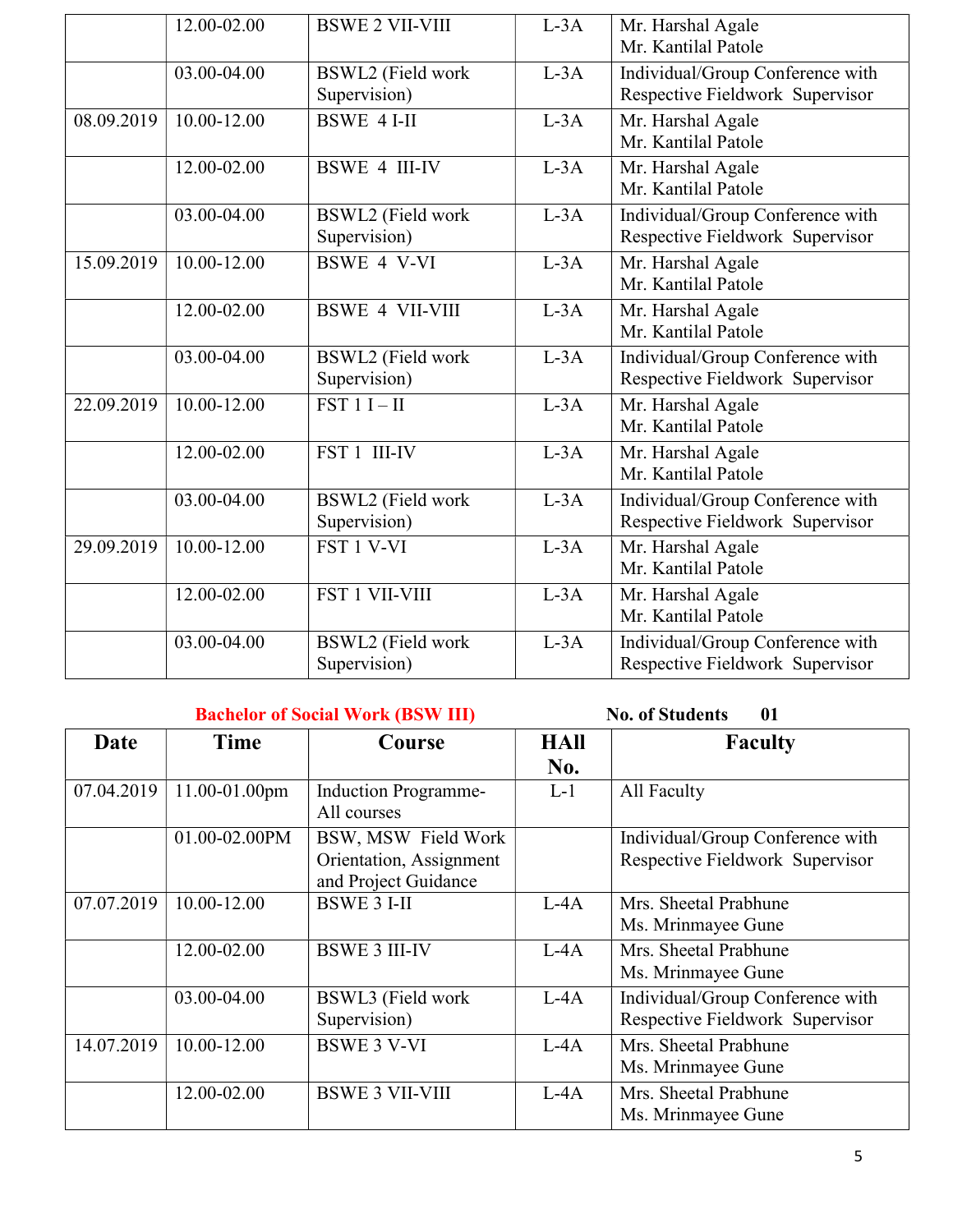|            | 12.00-02.00 | <b>BSWE 2 VII-VIII</b>                   | $L-3A$ | Mr. Harshal Agale<br>Mr. Kantilal Patole                            |
|------------|-------------|------------------------------------------|--------|---------------------------------------------------------------------|
|            | 03.00-04.00 | BSWL2 (Field work<br>Supervision)        | $L-3A$ | Individual/Group Conference with<br>Respective Fieldwork Supervisor |
| 08.09.2019 | 10.00-12.00 | <b>BSWE 4 I-II</b>                       | $L-3A$ | Mr. Harshal Agale<br>Mr. Kantilal Patole                            |
|            | 12.00-02.00 | <b>BSWE 4 III-IV</b>                     | $L-3A$ | Mr. Harshal Agale<br>Mr. Kantilal Patole                            |
|            | 03.00-04.00 | BSWL2 (Field work<br>Supervision)        | $L-3A$ | Individual/Group Conference with<br>Respective Fieldwork Supervisor |
| 15.09.2019 | 10.00-12.00 | <b>BSWE 4 V-VI</b>                       | $L-3A$ | Mr. Harshal Agale<br>Mr. Kantilal Patole                            |
|            | 12.00-02.00 | <b>BSWE 4 VII-VIII</b>                   | $L-3A$ | Mr. Harshal Agale<br>Mr. Kantilal Patole                            |
|            | 03.00-04.00 | <b>BSWL2</b> (Field work<br>Supervision) | $L-3A$ | Individual/Group Conference with<br>Respective Fieldwork Supervisor |
| 22.09.2019 | 10.00-12.00 | $FST 1 I-II$                             | $L-3A$ | Mr. Harshal Agale<br>Mr. Kantilal Patole                            |
|            | 12.00-02.00 | FST 1 III-IV                             | $L-3A$ | Mr. Harshal Agale<br>Mr. Kantilal Patole                            |
|            | 03.00-04.00 | BSWL2 (Field work<br>Supervision)        | $L-3A$ | Individual/Group Conference with<br>Respective Fieldwork Supervisor |
| 29.09.2019 | 10.00-12.00 | FST 1 V-VI                               | $L-3A$ | Mr. Harshal Agale<br>Mr. Kantilal Patole                            |
|            | 12.00-02.00 | <b>FST 1 VII-VIII</b>                    | $L-3A$ | Mr. Harshal Agale<br>Mr. Kantilal Patole                            |
|            | 03.00-04.00 | <b>BSWL2</b> (Field work<br>Supervision) | $L-3A$ | Individual/Group Conference with<br>Respective Fieldwork Supervisor |

#### Bachelor of Social Work (BSW III) No. of Students 01

| Date       | Time          | Course                                                                 | <b>HAll</b><br>No. | <b>Faculty</b>                                                      |
|------------|---------------|------------------------------------------------------------------------|--------------------|---------------------------------------------------------------------|
| 07.04.2019 | 11.00-01.00pm | <b>Induction Programme-</b><br>All courses                             | $L-1$              | All Faculty                                                         |
|            | 01.00-02.00PM | BSW, MSW Field Work<br>Orientation, Assignment<br>and Project Guidance |                    | Individual/Group Conference with<br>Respective Fieldwork Supervisor |
| 07.07.2019 | 10.00-12.00   | <b>BSWE 3 I-II</b>                                                     | $L-AA$             | Mrs. Sheetal Prabhune<br>Ms. Mrinmayee Gune                         |
|            | 12.00-02.00   | <b>BSWE 3 III-IV</b>                                                   | $L-4A$             | Mrs. Sheetal Prabhune<br>Ms. Mrinmayee Gune                         |
|            | 03.00-04.00   | BSWL3 (Field work<br>Supervision)                                      | $L-4A$             | Individual/Group Conference with<br>Respective Fieldwork Supervisor |
| 14.07.2019 | 10.00-12.00   | <b>BSWE 3 V-VI</b>                                                     | $L-4A$             | Mrs. Sheetal Prabhune<br>Ms. Mrinmayee Gune                         |
|            | 12.00-02.00   | <b>BSWE 3 VII-VIII</b>                                                 | $L - 4A$           | Mrs. Sheetal Prabhune<br>Ms. Mrinmayee Gune                         |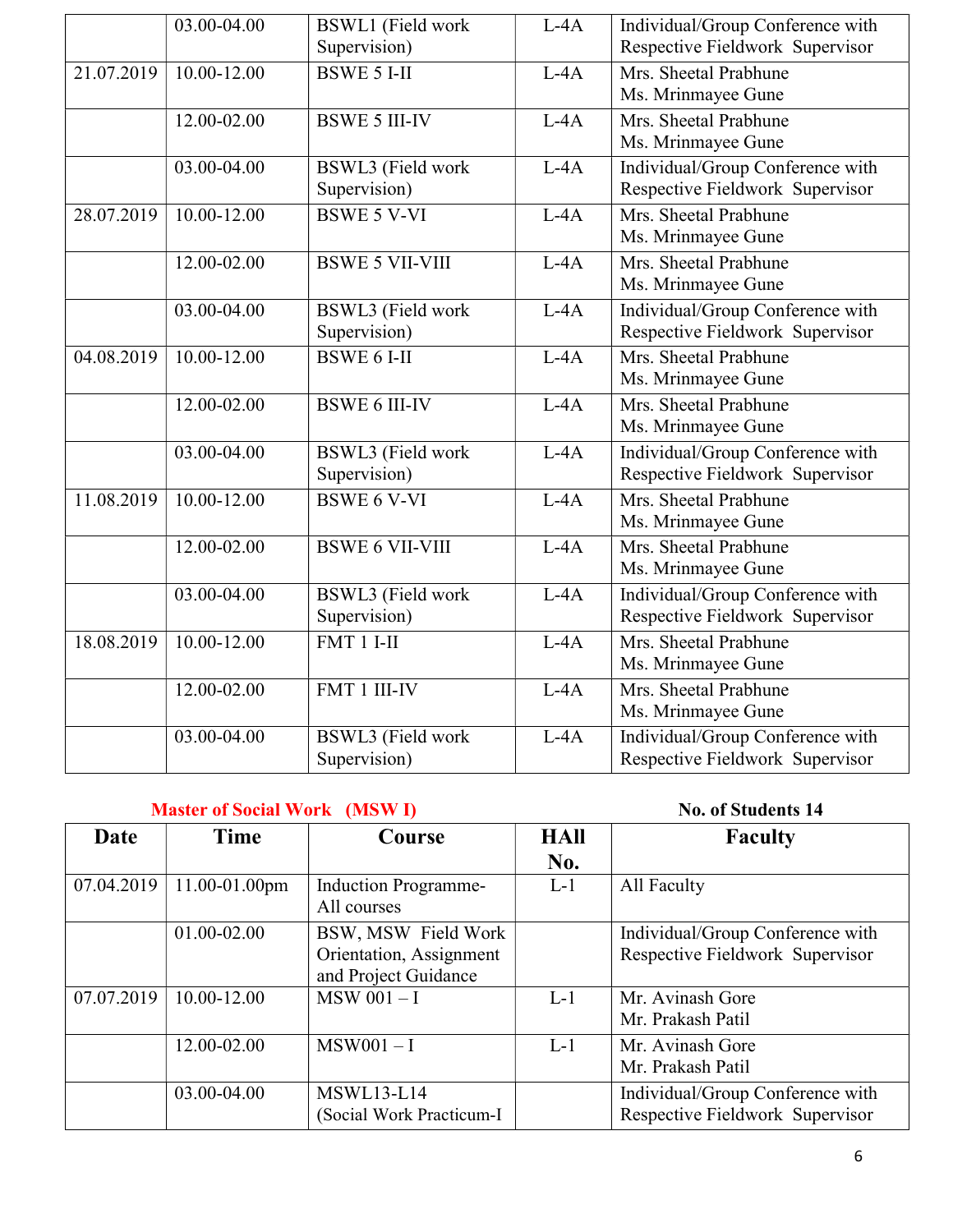|            | 03.00-04.00              | <b>BSWL1</b> (Field work | $L-4A$ | Individual/Group Conference with |
|------------|--------------------------|--------------------------|--------|----------------------------------|
|            |                          | Supervision)             |        | Respective Fieldwork Supervisor  |
| 21.07.2019 | $10.00 - 12.00$          | <b>BSWE 5 I-II</b>       | $L-4A$ | Mrs. Sheetal Prabhune            |
|            |                          |                          |        | Ms. Mrinmayee Gune               |
|            | 12.00-02.00              | <b>BSWE 5 III-IV</b>     | $L-4A$ | Mrs. Sheetal Prabhune            |
|            |                          |                          |        | Ms. Mrinmayee Gune               |
|            | 03.00-04.00              | BSWL3 (Field work        | $L-4A$ | Individual/Group Conference with |
|            |                          | Supervision)             |        | Respective Fieldwork Supervisor  |
| 28.07.2019 | 10.00-12.00              | <b>BSWE 5 V-VI</b>       | $L-4A$ | Mrs. Sheetal Prabhune            |
|            |                          |                          |        | Ms. Mrinmayee Gune               |
|            | 12.00-02.00              | <b>BSWE 5 VII-VIII</b>   | $L-4A$ | Mrs. Sheetal Prabhune            |
|            |                          |                          |        | Ms. Mrinmayee Gune               |
|            | 03.00-04.00              | <b>BSWL3</b> (Field work | $L-4A$ | Individual/Group Conference with |
|            |                          | Supervision)             |        | Respective Fieldwork Supervisor  |
| 04.08.2019 | $10.00 - 12.00$          | <b>BSWE 6 I-II</b>       | $L-4A$ | Mrs. Sheetal Prabhune            |
|            |                          |                          |        | Ms. Mrinmayee Gune               |
|            | 12.00-02.00              | <b>BSWE 6 III-IV</b>     | $L-4A$ | Mrs. Sheetal Prabhune            |
|            |                          |                          |        | Ms. Mrinmayee Gune               |
|            | 03.00-04.00              | <b>BSWL3</b> (Field work | $L-4A$ | Individual/Group Conference with |
|            |                          | Supervision)             |        | Respective Fieldwork Supervisor  |
| 11.08.2019 | $10.00 - 12.00$          | <b>BSWE 6 V-VI</b>       | $L-4A$ | Mrs. Sheetal Prabhune            |
|            |                          |                          |        | Ms. Mrinmayee Gune               |
|            | 12.00-02.00              | <b>BSWE 6 VII-VIII</b>   | $L-4A$ | Mrs. Sheetal Prabhune            |
|            |                          |                          |        | Ms. Mrinmayee Gune               |
|            | 03.00-04.00              | <b>BSWL3</b> (Field work | $L-4A$ | Individual/Group Conference with |
|            |                          | Supervision)             |        | Respective Fieldwork Supervisor  |
| 18.08.2019 | $10.\overline{00-12.00}$ | $FMT1I-II$               | $L-4A$ | Mrs. Sheetal Prabhune            |
|            |                          |                          |        | Ms. Mrinmayee Gune               |
|            | 12.00-02.00              | FMT 1 III-IV             | $L-4A$ | Mrs. Sheetal Prabhune            |
|            |                          |                          |        | Ms. Mrinmayee Gune               |
|            | 03.00-04.00              | <b>BSWL3</b> (Field work | $L-4A$ | Individual/Group Conference with |
|            |                          | Supervision)             |        | Respective Fieldwork Supervisor  |

#### Master of Social Work (MSW I) No. of Students 14

| Date       | Time          | Course                                          | <b>HAII</b> | <b>Faculty</b>                                                      |
|------------|---------------|-------------------------------------------------|-------------|---------------------------------------------------------------------|
|            |               |                                                 | No.         |                                                                     |
| 07.04.2019 | 11.00-01.00pm | <b>Induction Programme-</b><br>All courses      | $L-1$       | All Faculty                                                         |
|            | 01.00-02.00   | BSW, MSW Field Work                             |             | Individual/Group Conference with                                    |
|            |               | Orientation, Assignment<br>and Project Guidance |             | Respective Fieldwork Supervisor                                     |
| 07.07.2019 | 10.00-12.00   | $MSW$ 001 - I                                   | $L-1$       | Mr. Avinash Gore<br>Mr. Prakash Patil                               |
|            | 12.00-02.00   | $MSW001 - I$                                    | $L-1$       | Mr. Avinash Gore<br>Mr. Prakash Patil                               |
|            | 03.00-04.00   | $MSWL13-L14$<br>(Social Work Practicum-I        |             | Individual/Group Conference with<br>Respective Fieldwork Supervisor |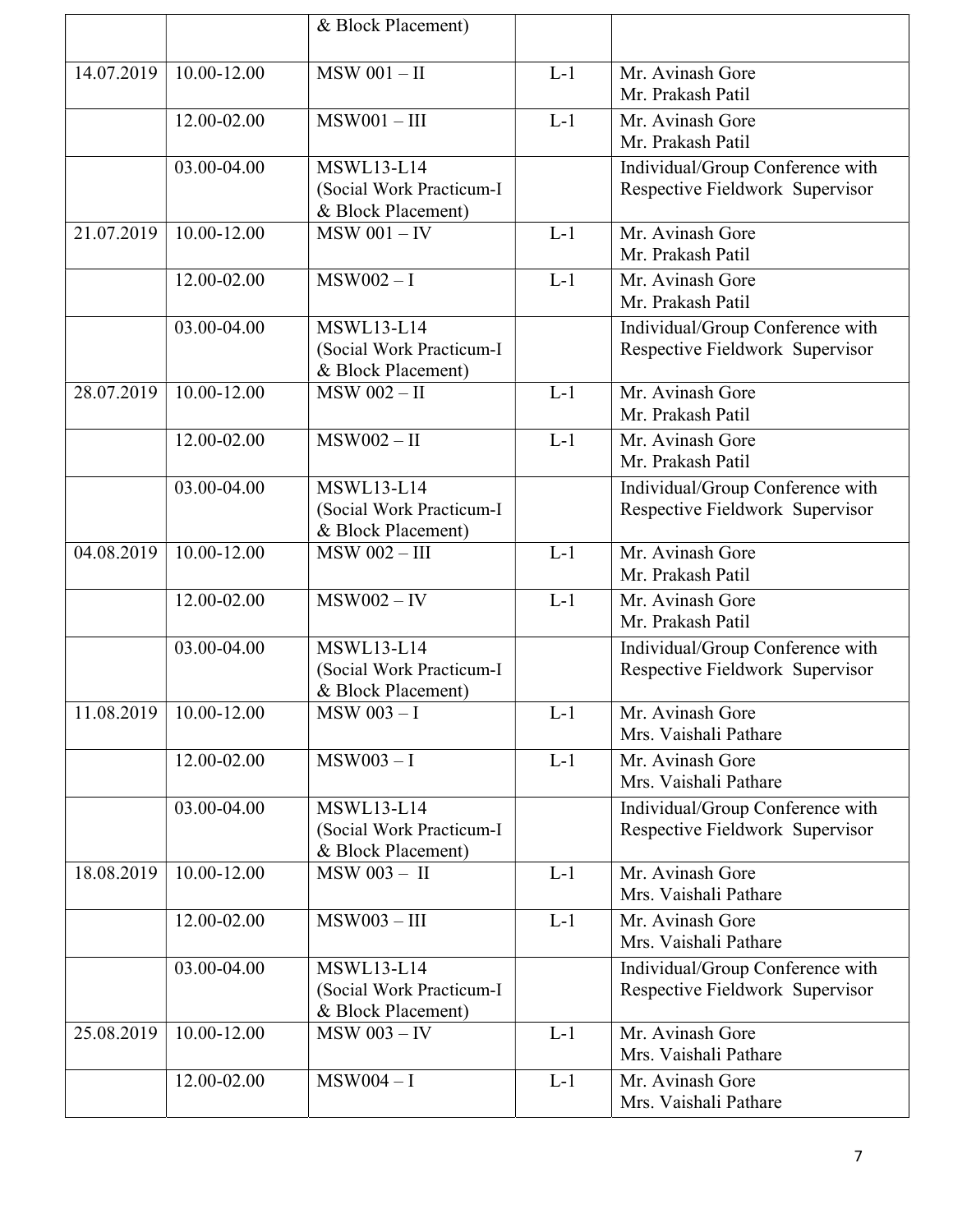|            |                            | & Block Placement)                             |       |                                  |
|------------|----------------------------|------------------------------------------------|-------|----------------------------------|
|            |                            |                                                |       |                                  |
| 14.07.2019 | 10.00-12.00                | $MSW$ 001 - II                                 | $L-1$ | Mr. Avinash Gore                 |
|            |                            |                                                |       | Mr. Prakash Patil                |
|            | 12.00-02.00                | $MSW001 - III$                                 | $L-1$ | Mr. Avinash Gore                 |
|            |                            |                                                |       | Mr. Prakash Patil                |
|            | 03.00-04.00                | <b>MSWL13-L14</b>                              |       | Individual/Group Conference with |
|            |                            | (Social Work Practicum-I                       |       | Respective Fieldwork Supervisor  |
|            |                            | & Block Placement)                             |       |                                  |
| 21.07.2019 | 10.00-12.00                | $MSW$ 001 - IV                                 | $L-1$ | Mr. Avinash Gore                 |
|            |                            |                                                |       | Mr. Prakash Patil                |
|            | 12.00-02.00                | $MSW002 - I$                                   | $L-1$ | Mr. Avinash Gore                 |
|            |                            |                                                |       | Mr. Prakash Patil                |
|            | 03.00-04.00                | <b>MSWL13-L14</b>                              |       | Individual/Group Conference with |
|            |                            | (Social Work Practicum-I                       |       | Respective Fieldwork Supervisor  |
|            |                            | & Block Placement)                             |       |                                  |
| 28.07.2019 | 10.00-12.00                | <b>MSW 002-II</b>                              | $L-1$ | Mr. Avinash Gore                 |
|            |                            |                                                |       | Mr. Prakash Patil                |
|            | 12.00-02.00                | $MSW002 - II$                                  | $L-1$ | Mr. Avinash Gore                 |
|            |                            |                                                |       | Mr. Prakash Patil                |
|            | 03.00-04.00                | <b>MSWL13-L14</b>                              |       | Individual/Group Conference with |
|            |                            | (Social Work Practicum-I                       |       | Respective Fieldwork Supervisor  |
|            |                            | & Block Placement)                             |       |                                  |
| 04.08.2019 | 10.00-12.00                | <b>MSW 002-III</b>                             | $L-1$ | Mr. Avinash Gore                 |
|            |                            |                                                |       | Mr. Prakash Patil                |
|            | 12.00-02.00                | $MSW002 - IV$                                  | $L-1$ | Mr. Avinash Gore                 |
|            |                            |                                                |       | Mr. Prakash Patil                |
|            | 03.00-04.00                | $\overline{\text{MSWL}}$ 13-L14                |       | Individual/Group Conference with |
|            |                            | (Social Work Practicum-I<br>& Block Placement) |       | Respective Fieldwork Supervisor  |
|            | $11.08.2019$   10.00-12.00 | <b>MSW 003-I</b>                               | $L-1$ | Mr. Avinash Gore                 |
|            |                            |                                                |       | Mrs. Vaishali Pathare            |
|            | 12.00-02.00                | $MSW003 - I$                                   | $L-1$ | Mr. Avinash Gore                 |
|            |                            |                                                |       | Mrs. Vaishali Pathare            |
|            | 03.00-04.00                | <b>MSWL13-L14</b>                              |       | Individual/Group Conference with |
|            |                            | (Social Work Practicum-I                       |       | Respective Fieldwork Supervisor  |
|            |                            | & Block Placement)                             |       |                                  |
| 18.08.2019 | 10.00-12.00                | MSW 003 - II                                   | $L-1$ | Mr. Avinash Gore                 |
|            |                            |                                                |       | Mrs. Vaishali Pathare            |
|            | 12.00-02.00                | $MSW003 - III$                                 | $L-1$ | Mr. Avinash Gore                 |
|            |                            |                                                |       | Mrs. Vaishali Pathare            |
|            | 03.00-04.00                | <b>MSWL13-L14</b>                              |       | Individual/Group Conference with |
|            |                            | (Social Work Practicum-I                       |       | Respective Fieldwork Supervisor  |
|            |                            | & Block Placement)                             |       |                                  |
| 25.08.2019 | 10.00-12.00                | <b>MSW 003 - IV</b>                            | $L-1$ | Mr. Avinash Gore                 |
|            |                            |                                                |       | Mrs. Vaishali Pathare            |
|            | 12.00-02.00                | $MSW004 - I$                                   | $L-1$ | Mr. Avinash Gore                 |
|            |                            |                                                |       | Mrs. Vaishali Pathare            |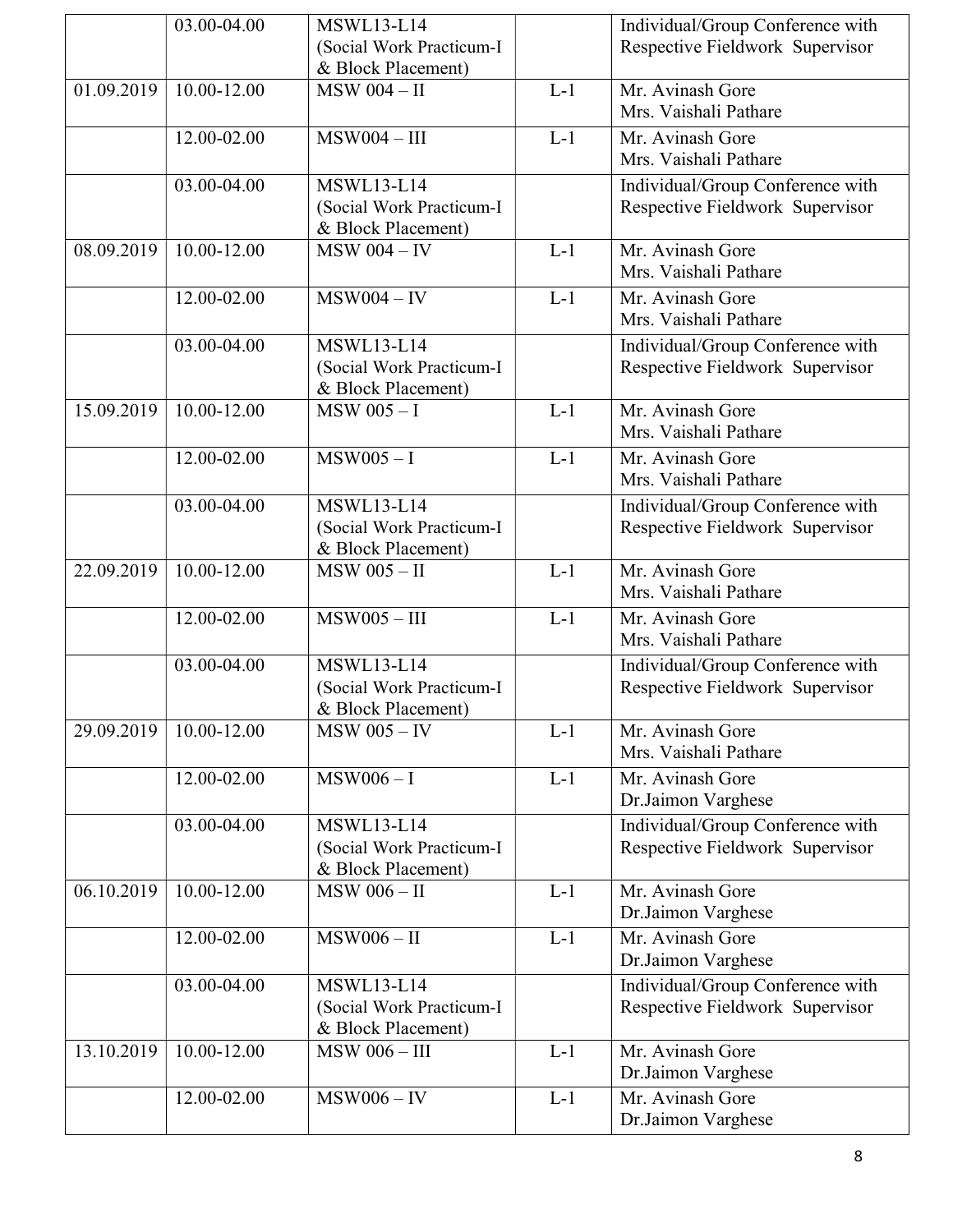|            | 03.00-04.00              | <b>MSWL13-L14</b>                              |       | Individual/Group Conference with |
|------------|--------------------------|------------------------------------------------|-------|----------------------------------|
|            |                          | (Social Work Practicum-I                       |       | Respective Fieldwork Supervisor  |
|            |                          | & Block Placement)                             |       |                                  |
| 01.09.2019 | 10.00-12.00              | $MSW$ 004 - II                                 | $L-1$ | Mr. Avinash Gore                 |
|            |                          |                                                |       | Mrs. Vaishali Pathare            |
|            | 12.00-02.00              | $MSW004 - III$                                 | $L-1$ | Mr. Avinash Gore                 |
|            |                          |                                                |       | Mrs. Vaishali Pathare            |
|            | 03.00-04.00              | <b>MSWL13-L14</b>                              |       | Individual/Group Conference with |
|            |                          | (Social Work Practicum-I                       |       | Respective Fieldwork Supervisor  |
|            |                          | & Block Placement)                             |       |                                  |
| 08.09.2019 | 10.00-12.00              | $MSW 004 - IV$                                 | $L-1$ | Mr. Avinash Gore                 |
|            |                          |                                                |       | Mrs. Vaishali Pathare            |
|            |                          |                                                |       |                                  |
|            | 12.00-02.00              | $MSW004 - IV$                                  | $L-1$ | Mr. Avinash Gore                 |
|            |                          |                                                |       | Mrs. Vaishali Pathare            |
|            | 03.00-04.00              | <b>MSWL13-L14</b>                              |       | Individual/Group Conference with |
|            |                          | (Social Work Practicum-I                       |       | Respective Fieldwork Supervisor  |
|            |                          | & Block Placement)                             |       |                                  |
| 15.09.2019 | 10.00-12.00              | $MSW$ 005 - I                                  | $L-1$ | Mr. Avinash Gore                 |
|            |                          |                                                |       | Mrs. Vaishali Pathare            |
|            | 12.00-02.00              | $MSW005 - I$                                   | $L-1$ | Mr. Avinash Gore                 |
|            |                          |                                                |       | Mrs. Vaishali Pathare            |
|            | 03.00-04.00              | <b>MSWL13-L14</b>                              |       | Individual/Group Conference with |
|            |                          | (Social Work Practicum-I                       |       | Respective Fieldwork Supervisor  |
|            |                          | & Block Placement)                             |       |                                  |
| 22.09.2019 | $10.00 - 12.00$          | <b>MSW 005 - II</b>                            | $L-1$ | Mr. Avinash Gore                 |
|            |                          |                                                |       | Mrs. Vaishali Pathare            |
|            | 12.00-02.00              | $MSW005 - III$                                 | $L-1$ | Mr. Avinash Gore                 |
|            |                          |                                                |       | Mrs. Vaishali Pathare            |
|            |                          |                                                |       |                                  |
|            | 03.00-04.00              | <b>MSWL13-L14</b>                              |       | Individual/Group Conference with |
|            |                          | (Social Work Practicum-I<br>& Block Placement) |       | Respective Fieldwork Supervisor  |
| 29.09.2019 | $10.00 - 12.00$          | $MSW$ 005 - IV                                 | $L-1$ | Mr. Avinash Gore                 |
|            |                          |                                                |       | Mrs. Vaishali Pathare            |
|            |                          |                                                |       |                                  |
|            | 12.00-02.00              | $MSW006 - I$                                   | $L-1$ | Mr. Avinash Gore                 |
|            |                          |                                                |       | Dr.Jaimon Varghese               |
|            | 03.00-04.00              | <b>MSWL13-L14</b>                              |       | Individual/Group Conference with |
|            |                          | (Social Work Practicum-I                       |       | Respective Fieldwork Supervisor  |
|            |                          | & Block Placement)                             |       |                                  |
| 06.10.2019 | $10.00 - 12.00$          | <b>MSW 006-II</b>                              | $L-1$ | Mr. Avinash Gore                 |
|            |                          |                                                |       | Dr.Jaimon Varghese               |
|            | 12.00-02.00              | $MSW006 - II$                                  | $L-1$ | Mr. Avinash Gore                 |
|            |                          |                                                |       | Dr.Jaimon Varghese               |
|            | 03.00-04.00              | <b>MSWL13-L14</b>                              |       | Individual/Group Conference with |
|            |                          | (Social Work Practicum-I                       |       | Respective Fieldwork Supervisor  |
|            |                          | & Block Placement)                             |       |                                  |
| 13.10.2019 | $10.\overline{00-12.00}$ | <b>MSW 006 - III</b>                           | $L-1$ | Mr. Avinash Gore                 |
|            |                          |                                                |       | Dr.Jaimon Varghese               |
|            | 12.00-02.00              | $MSW006 - IV$                                  | $L-1$ | Mr. Avinash Gore                 |
|            |                          |                                                |       |                                  |
|            |                          |                                                |       | Dr.Jaimon Varghese               |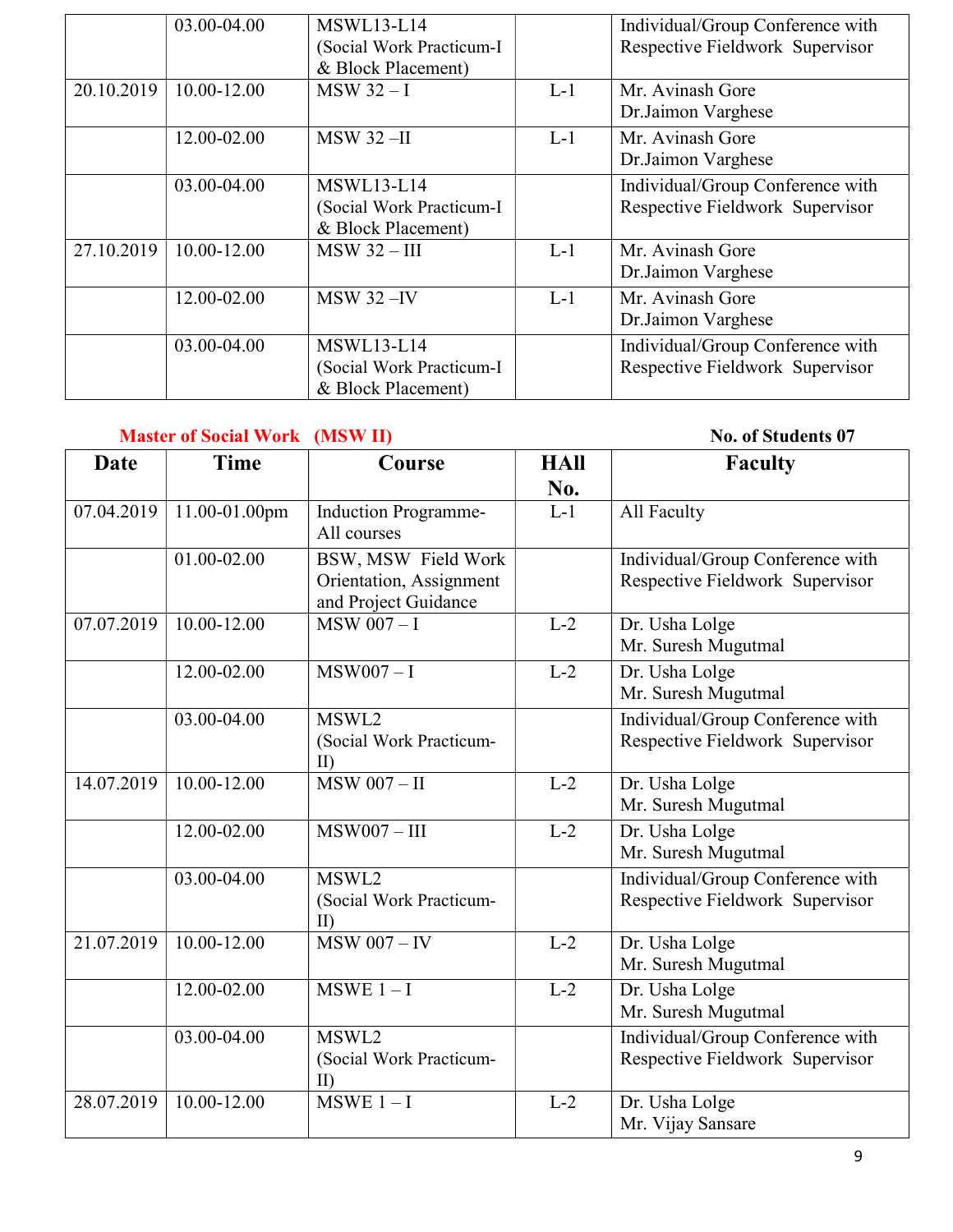|            | 03.00-04.00 | <b>MSWL13-L14</b><br>(Social Work Practicum-I<br>& Block Placement) |       | Individual/Group Conference with<br>Respective Fieldwork Supervisor |
|------------|-------------|---------------------------------------------------------------------|-------|---------------------------------------------------------------------|
| 20.10.2019 | 10.00-12.00 | $MSW 32 - I$                                                        | $L-1$ | Mr. Avinash Gore<br>Dr.Jaimon Varghese                              |
|            | 12.00-02.00 | <b>MSW 32-II</b>                                                    | $L-1$ | Mr. Avinash Gore<br>Dr.Jaimon Varghese                              |
|            | 03.00-04.00 | <b>MSWL13-L14</b><br>(Social Work Practicum-I<br>& Block Placement) |       | Individual/Group Conference with<br>Respective Fieldwork Supervisor |
| 27.10.2019 | 10.00-12.00 | $MSW 32 - III$                                                      | $L-1$ | Mr. Avinash Gore<br>Dr.Jaimon Varghese                              |
|            | 12.00-02.00 | $MSW$ 32 $-N$                                                       | $L-1$ | Mr. Avinash Gore<br>Dr.Jaimon Varghese                              |
|            | 03.00-04.00 | <b>MSWL13-L14</b><br>(Social Work Practicum-I<br>& Block Placement) |       | Individual/Group Conference with<br>Respective Fieldwork Supervisor |

#### Master of Social Work (MSW II) No. of Students 07

| <b>Date</b> | <b>Time</b>     | Course                                                                 | <b>HAll</b><br>No. | <b>Faculty</b>                                                      |
|-------------|-----------------|------------------------------------------------------------------------|--------------------|---------------------------------------------------------------------|
| 07.04.2019  | 11.00-01.00pm   | <b>Induction Programme-</b><br>All courses                             | $L-1$              | All Faculty                                                         |
|             | 01.00-02.00     | BSW, MSW Field Work<br>Orientation, Assignment<br>and Project Guidance |                    | Individual/Group Conference with<br>Respective Fieldwork Supervisor |
| 07.07.2019  | $10.00 - 12.00$ | $MSW$ 007 - I                                                          | $L-2$              | Dr. Usha Lolge<br>Mr. Suresh Mugutmal                               |
|             | 12.00-02.00     | $MSW007 - I$                                                           | $L-2$              | Dr. Usha Lolge<br>Mr. Suresh Mugutmal                               |
|             | 03.00-04.00     | MSWL2<br>(Social Work Practicum-<br>$\text{II}$                        |                    | Individual/Group Conference with<br>Respective Fieldwork Supervisor |
| 14.07.2019  | 10.00-12.00     | $MSW$ 007 - II                                                         | $L-2$              | Dr. Usha Lolge<br>Mr. Suresh Mugutmal                               |
|             | 12.00-02.00     | $MSW007 - III$                                                         | $L-2$              | Dr. Usha Lolge<br>Mr. Suresh Mugutmal                               |
|             | 03.00-04.00     | MSWL2<br>(Social Work Practicum-<br>$\prod$                            |                    | Individual/Group Conference with<br>Respective Fieldwork Supervisor |
| 21.07.2019  | $10.00 - 12.00$ | $MSW$ 007 - IV                                                         | $L-2$              | Dr. Usha Lolge<br>Mr. Suresh Mugutmal                               |
|             | 12.00-02.00     | $MSWE 1-I$                                                             | $L-2$              | Dr. Usha Lolge<br>Mr. Suresh Mugutmal                               |
|             | 03.00-04.00     | MSWL <sub>2</sub><br>(Social Work Practicum-<br>II)                    |                    | Individual/Group Conference with<br>Respective Fieldwork Supervisor |
| 28.07.2019  | 10.00-12.00     | $MSWE 1-I$                                                             | $L-2$              | Dr. Usha Lolge<br>Mr. Vijay Sansare                                 |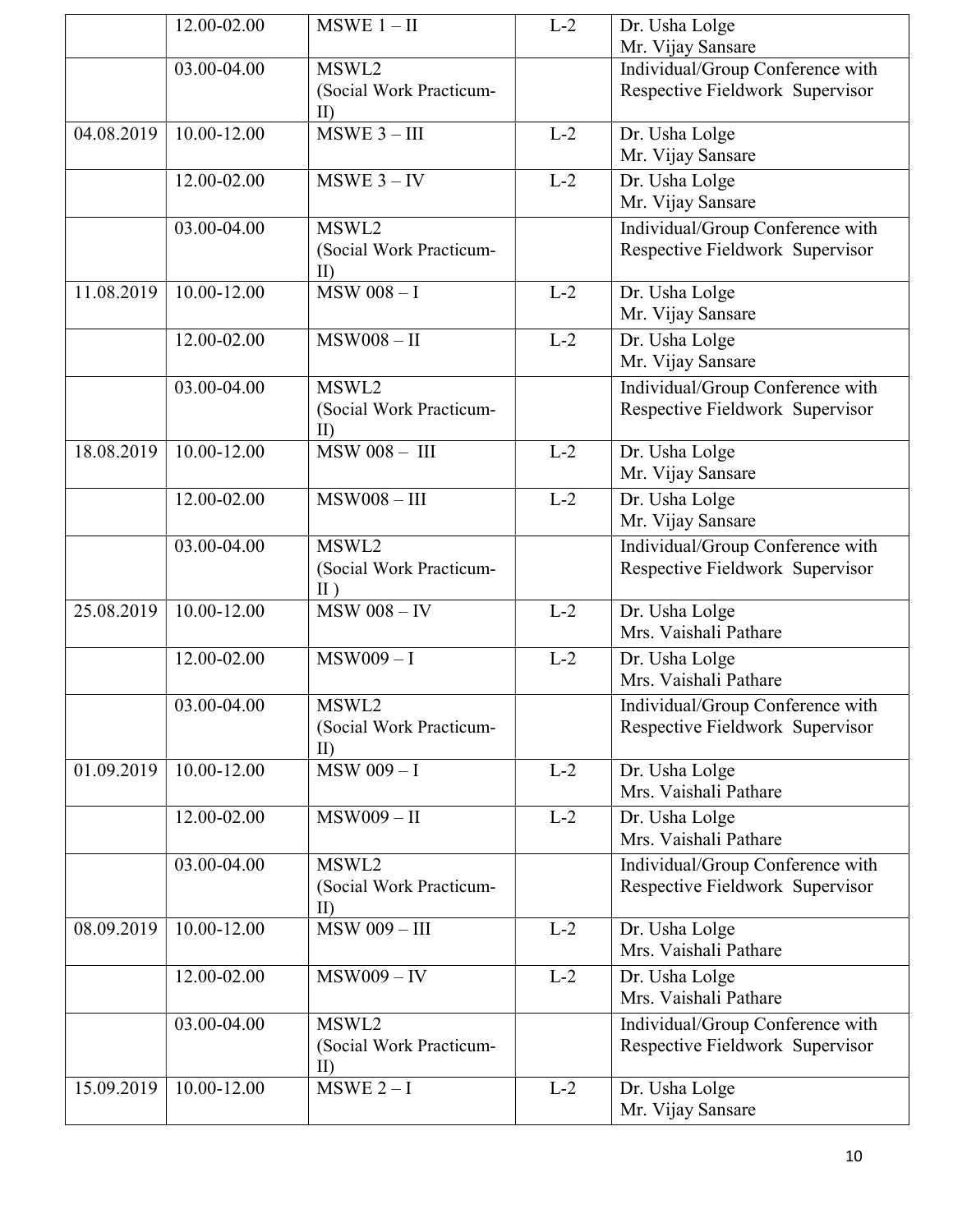|            | 12.00-02.00     | $MSWE$ 1 – II                                    | $L-2$ | Dr. Usha Lolge                                                      |
|------------|-----------------|--------------------------------------------------|-------|---------------------------------------------------------------------|
|            | 03.00-04.00     | MSWL2                                            |       | Mr. Vijay Sansare<br>Individual/Group Conference with               |
|            |                 | (Social Work Practicum-<br>$\rm{II}$             |       | Respective Fieldwork Supervisor                                     |
| 04.08.2019 | 10.00-12.00     | $MSWE$ 3 - III                                   | $L-2$ | Dr. Usha Lolge<br>Mr. Vijay Sansare                                 |
|            | 12.00-02.00     | $MSWE$ 3 – IV                                    | $L-2$ | Dr. Usha Lolge<br>Mr. Vijay Sansare                                 |
|            | 03.00-04.00     | MSWL2<br>(Social Work Practicum-<br>$\mathbf{I}$ |       | Individual/Group Conference with<br>Respective Fieldwork Supervisor |
| 11.08.2019 | $10.00 - 12.00$ | $MSW$ 008 - I                                    | $L-2$ | Dr. Usha Lolge<br>Mr. Vijay Sansare                                 |
|            | 12.00-02.00     | $MSW008 - II$                                    | $L-2$ | Dr. Usha Lolge<br>Mr. Vijay Sansare                                 |
|            | 03.00-04.00     | MSWL2<br>(Social Work Practicum-<br>$\rm{I}$     |       | Individual/Group Conference with<br>Respective Fieldwork Supervisor |
| 18.08.2019 | 10.00-12.00     | $MSW008 - III$                                   | $L-2$ | Dr. Usha Lolge<br>Mr. Vijay Sansare                                 |
|            | 12.00-02.00     | $MSW008 - III$                                   | $L-2$ | Dr. Usha Lolge<br>Mr. Vijay Sansare                                 |
|            | 03.00-04.00     | MSWL2<br>(Social Work Practicum-<br>$\Pi$ )      |       | Individual/Group Conference with<br>Respective Fieldwork Supervisor |
| 25.08.2019 | $10.00 - 12.00$ | $MSW$ 008 - IV                                   | $L-2$ | Dr. Usha Lolge<br>Mrs. Vaishali Pathare                             |
|            | 12.00-02.00     | $MSW009 - I$                                     | $L-2$ | Dr. Usha Lolge<br>Mrs. Vaishali Pathare                             |
|            | 03.00-04.00     | MSWL2<br>(Social Work Practicum-<br>m            |       | Individual/Group Conference with<br>Respective Fieldwork Supervisor |
| 01.09.2019 | 10.00-12.00     | $\overline{\text{MSW }009}-\overline{\text{I}}$  | $L-2$ | Dr. Usha Lolge<br>Mrs. Vaishali Pathare                             |
|            | 12.00-02.00     | $MSW009 - II$                                    | $L-2$ | Dr. Usha Lolge<br>Mrs. Vaishali Pathare                             |
|            | 03.00-04.00     | MSWL2<br>(Social Work Practicum-<br>$\rm{II}$    |       | Individual/Group Conference with<br>Respective Fieldwork Supervisor |
| 08.09.2019 | 10.00-12.00     | <b>MSW 009-III</b>                               | $L-2$ | Dr. Usha Lolge<br>Mrs. Vaishali Pathare                             |
|            | 12.00-02.00     | $MSW009 - IV$                                    | $L-2$ | Dr. Usha Lolge<br>Mrs. Vaishali Pathare                             |
|            | 03.00-04.00     | MSWL2<br>(Social Work Practicum-<br>$\rm{I}$     |       | Individual/Group Conference with<br>Respective Fieldwork Supervisor |
| 15.09.2019 | $10.00 - 12.00$ | $\overline{\text{MSWE 2}-I}$                     | $L-2$ | Dr. Usha Lolge<br>Mr. Vijay Sansare                                 |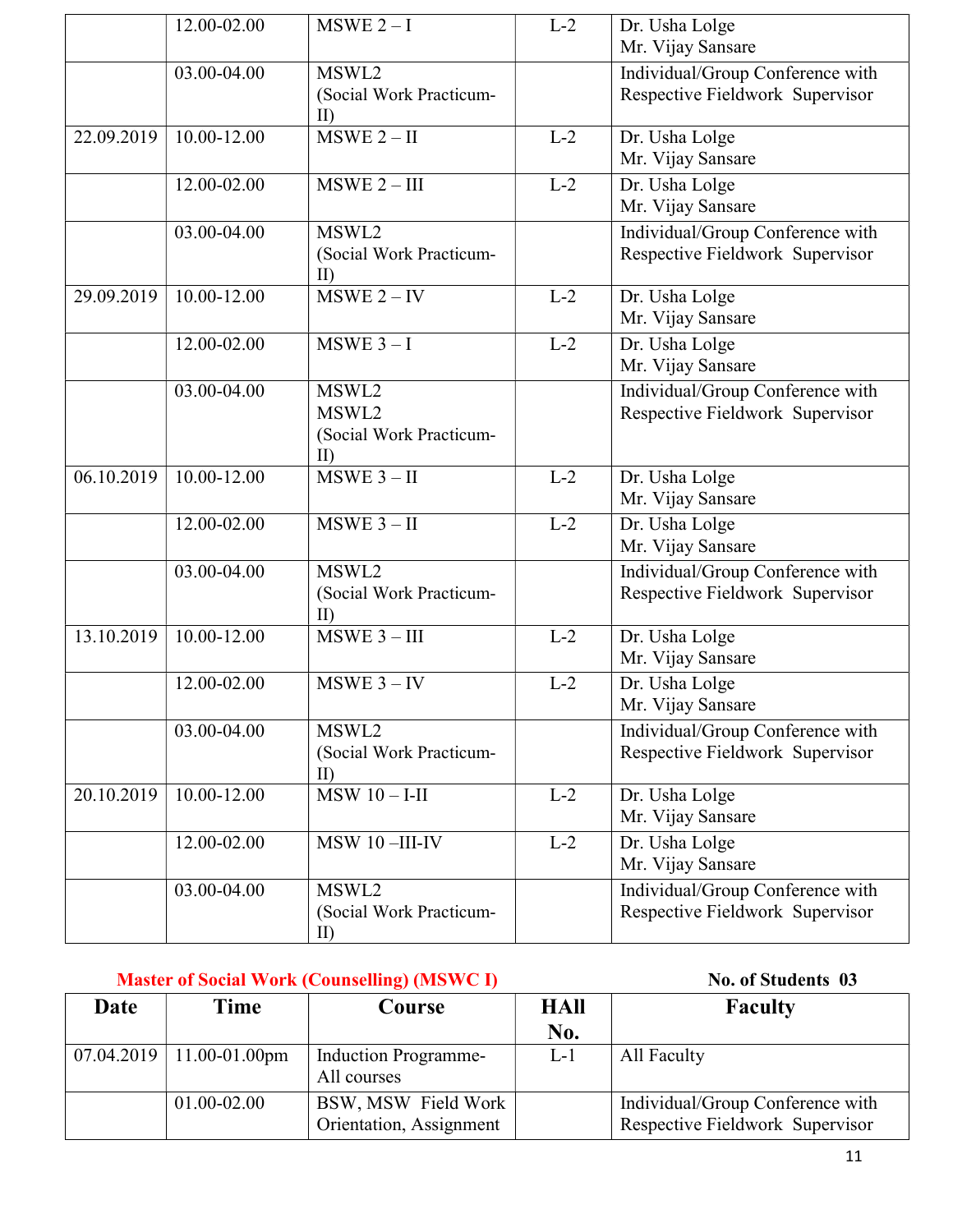|            | 12.00-02.00     | $MSWE 2-I$                                       | $L-2$ | Dr. Usha Lolge<br>Mr. Vijay Sansare                                 |
|------------|-----------------|--------------------------------------------------|-------|---------------------------------------------------------------------|
|            | 03.00-04.00     | MSWL2<br>(Social Work Practicum-<br>$\rm{II}$    |       | Individual/Group Conference with<br>Respective Fieldwork Supervisor |
| 22.09.2019 | 10.00-12.00     | $MSWE 2 - II$                                    | $L-2$ | Dr. Usha Lolge<br>Mr. Vijay Sansare                                 |
|            | 12.00-02.00     | $MSWE 2 - III$                                   | $L-2$ | Dr. Usha Lolge<br>Mr. Vijay Sansare                                 |
|            | 03.00-04.00     | MSWL2<br>(Social Work Practicum-<br>$\rm{II}$    |       | Individual/Group Conference with<br>Respective Fieldwork Supervisor |
| 29.09.2019 | 10.00-12.00     | $MSWE 2 - IV$                                    | $L-2$ | Dr. Usha Lolge<br>Mr. Vijay Sansare                                 |
|            | 12.00-02.00     | $MSWE$ 3 - I                                     | $L-2$ | Dr. Usha Lolge<br>Mr. Vijay Sansare                                 |
|            | 03.00-04.00     | MSWL2<br>MSWL2<br>(Social Work Practicum-<br>TD. |       | Individual/Group Conference with<br>Respective Fieldwork Supervisor |
| 06.10.2019 | $10.00 - 12.00$ | $MSWE 3 - II$                                    | $L-2$ | Dr. Usha Lolge<br>Mr. Vijay Sansare                                 |
|            | 12.00-02.00     | $MSWE$ 3 - II                                    | $L-2$ | Dr. Usha Lolge<br>Mr. Vijay Sansare                                 |
|            | 03.00-04.00     | MSWL2<br>(Social Work Practicum-<br>$\rm{II}$    |       | Individual/Group Conference with<br>Respective Fieldwork Supervisor |
| 13.10.2019 | $10.00 - 12.00$ | $MSWE$ 3 - III                                   | $L-2$ | Dr. Usha Lolge<br>Mr. Vijay Sansare                                 |
|            | 12.00-02.00     | $MSWE$ 3 – IV                                    | $L-2$ | Dr. Usha Lolge<br>Mr. Vijay Sansare                                 |
|            | 03.00-04.00     | MSWL2<br>(Social Work Practicum-<br>$\rm{II}$    |       | Individual/Group Conference with<br>Respective Fieldwork Supervisor |
| 20.10.2019 | 10.00-12.00     | $MSW10 - -II$                                    | $L-2$ | Dr. Usha Lolge<br>Mr. Vijay Sansare                                 |
|            | 12.00-02.00     | MSW 10-III-IV                                    | $L-2$ | Dr. Usha Lolge<br>Mr. Vijay Sansare                                 |
|            | 03.00-04.00     | MSWL2<br>(Social Work Practicum-<br>II           |       | Individual/Group Conference with<br>Respective Fieldwork Supervisor |

|      |                              | <b>Master of Social Work (Counselling) (MSWC I)</b> | No. of Students 03 |                                                                     |  |
|------|------------------------------|-----------------------------------------------------|--------------------|---------------------------------------------------------------------|--|
| Date | Time                         | Course                                              | HAll<br>No.        | <b>Faculty</b>                                                      |  |
|      | $07.04.2019$   11.00-01.00pm | <b>Induction Programme-</b><br>All courses          | $L-1$              | All Faculty                                                         |  |
|      | 01.00-02.00                  | BSW, MSW Field Work<br>Orientation, Assignment      |                    | Individual/Group Conference with<br>Respective Fieldwork Supervisor |  |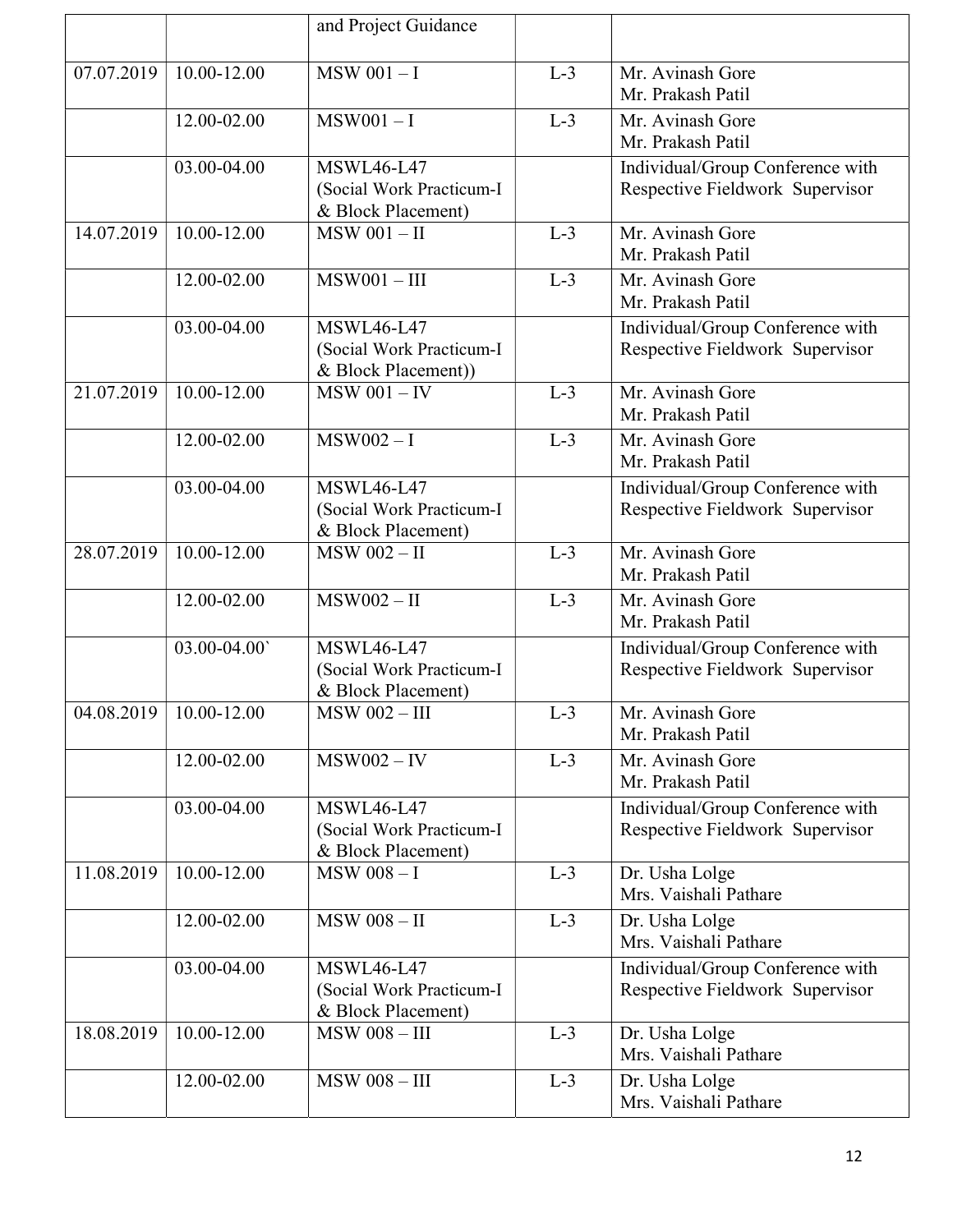|            |                            | and Project Guidance     |       |                                  |
|------------|----------------------------|--------------------------|-------|----------------------------------|
|            |                            |                          |       |                                  |
| 07.07.2019 | 10.00-12.00                | $MSW$ 001 - I            | $L-3$ | Mr. Avinash Gore                 |
|            |                            |                          |       | Mr. Prakash Patil                |
|            | 12.00-02.00                | $MSW001 - I$             | $L-3$ | Mr. Avinash Gore                 |
|            |                            |                          |       | Mr. Prakash Patil                |
|            | 03.00-04.00                | <b>MSWL46-L47</b>        |       | Individual/Group Conference with |
|            |                            | (Social Work Practicum-I |       | Respective Fieldwork Supervisor  |
|            |                            | & Block Placement)       |       |                                  |
| 14.07.2019 | $10.00 - 12.00$            | $MSW$ 001 - II           | $L-3$ | Mr. Avinash Gore                 |
|            |                            |                          |       | Mr. Prakash Patil                |
|            | 12.00-02.00                | $MSW001 - III$           | $L-3$ | Mr. Avinash Gore                 |
|            |                            |                          |       | Mr. Prakash Patil                |
|            | 03.00-04.00                | <b>MSWL46-L47</b>        |       | Individual/Group Conference with |
|            |                            | (Social Work Practicum-I |       | Respective Fieldwork Supervisor  |
|            |                            | & Block Placement))      |       |                                  |
| 21.07.2019 | 10.00-12.00                | $MSW 001 - IV$           | $L-3$ | Mr. Avinash Gore                 |
|            |                            |                          |       | Mr. Prakash Patil                |
|            | $12.00 - 02.00$            | $MSW002 - I$             | $L-3$ | Mr. Avinash Gore                 |
|            |                            |                          |       | Mr. Prakash Patil                |
|            | 03.00-04.00                | <b>MSWL46-L47</b>        |       | Individual/Group Conference with |
|            |                            | (Social Work Practicum-I |       | Respective Fieldwork Supervisor  |
|            |                            | & Block Placement)       |       |                                  |
| 28.07.2019 | 10.00-12.00                | <b>MSW 002-II</b>        | $L-3$ | Mr. Avinash Gore                 |
|            |                            |                          |       | Mr. Prakash Patil                |
|            | 12.00-02.00                | $MSW002 - II$            | $L-3$ | Mr. Avinash Gore                 |
|            |                            |                          |       | Mr. Prakash Patil                |
|            | 03.00-04.00                | <b>MSWL46-L47</b>        |       | Individual/Group Conference with |
|            |                            | (Social Work Practicum-I |       | Respective Fieldwork Supervisor  |
|            |                            | & Block Placement)       |       |                                  |
|            | $04.08.2019$   10.00-12.00 | <b>MSW 002-III</b>       | $L-3$ | Mr. Avinash Gore                 |
|            |                            |                          |       | Mr. Prakash Patil                |
|            | 12.00-02.00                | $MSW002 - IV$            | $L-3$ | Mr. Avinash Gore                 |
|            |                            |                          |       | Mr. Prakash Patil                |
|            | 03.00-04.00                | <b>MSWL46-L47</b>        |       | Individual/Group Conference with |
|            |                            | (Social Work Practicum-I |       | Respective Fieldwork Supervisor  |
|            |                            | & Block Placement)       |       |                                  |
| 11.08.2019 | 10.00-12.00                | $MSW$ 008 - I            | $L-3$ | Dr. Usha Lolge                   |
|            |                            |                          |       | Mrs. Vaishali Pathare            |
|            | 12.00-02.00                | $MSW$ 008 - II           | $L-3$ | Dr. Usha Lolge                   |
|            |                            |                          |       | Mrs. Vaishali Pathare            |
|            | 03.00-04.00                | <b>MSWL46-L47</b>        |       | Individual/Group Conference with |
|            |                            | (Social Work Practicum-I |       | Respective Fieldwork Supervisor  |
|            |                            | & Block Placement)       |       |                                  |
| 18.08.2019 | 10.00-12.00                | <b>MSW 008 - III</b>     | $L-3$ | Dr. Usha Lolge                   |
|            |                            |                          |       | Mrs. Vaishali Pathare            |
|            | 12.00-02.00                | <b>MSW 008-III</b>       | $L-3$ | Dr. Usha Lolge                   |
|            |                            |                          |       | Mrs. Vaishali Pathare            |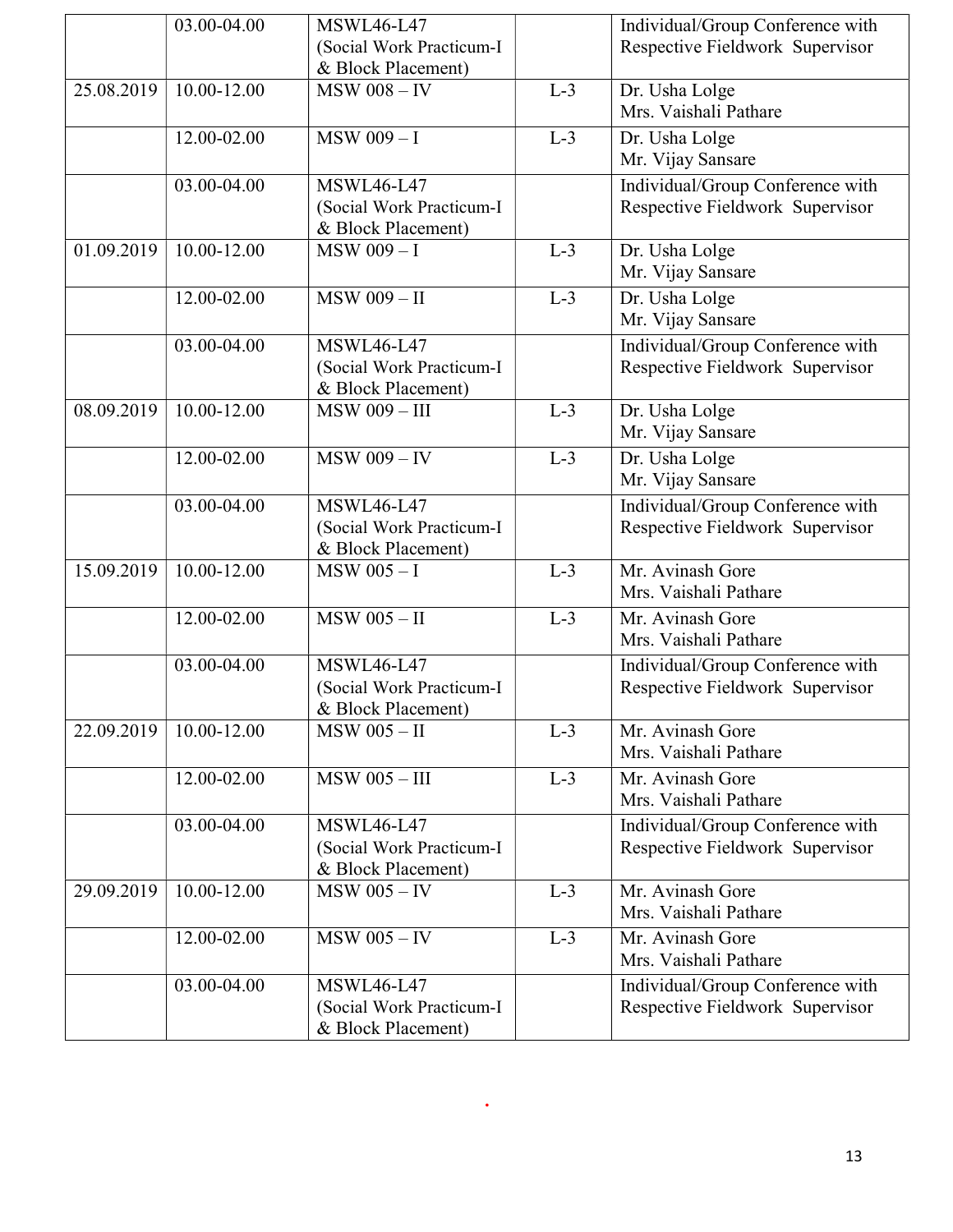|            | 03.00-04.00     | <b>MSWL46-L47</b>        |       | Individual/Group Conference with |
|------------|-----------------|--------------------------|-------|----------------------------------|
|            |                 | (Social Work Practicum-I |       | Respective Fieldwork Supervisor  |
|            |                 | & Block Placement)       |       |                                  |
| 25.08.2019 | 10.00-12.00     | $MSW$ 008 - IV           | $L-3$ | Dr. Usha Lolge                   |
|            |                 |                          |       | Mrs. Vaishali Pathare            |
|            | $12.00 - 02.00$ | <b>MSW 009-I</b>         | $L-3$ | Dr. Usha Lolge                   |
|            |                 |                          |       | Mr. Vijay Sansare                |
|            | 03.00-04.00     | <b>MSWL46-L47</b>        |       | Individual/Group Conference with |
|            |                 | (Social Work Practicum-I |       | Respective Fieldwork Supervisor  |
|            |                 | & Block Placement)       |       |                                  |
| 01.09.2019 | $10.00 - 12.00$ | $MSW$ 009 - I            | $L-3$ | Dr. Usha Lolge                   |
|            |                 |                          |       | Mr. Vijay Sansare                |
|            | 12.00-02.00     | <b>MSW 009 - II</b>      | $L-3$ | Dr. Usha Lolge                   |
|            |                 |                          |       | Mr. Vijay Sansare                |
|            | 03.00-04.00     | <b>MSWL46-L47</b>        |       | Individual/Group Conference with |
|            |                 | (Social Work Practicum-I |       | Respective Fieldwork Supervisor  |
|            |                 | & Block Placement)       |       |                                  |
| 08.09.2019 | 10.00-12.00     | <b>MSW 009 - III</b>     | $L-3$ | Dr. Usha Lolge                   |
|            |                 |                          |       | Mr. Vijay Sansare                |
|            | 12.00-02.00     | $MSW$ 009 - IV           | $L-3$ | Dr. Usha Lolge                   |
|            |                 |                          |       | Mr. Vijay Sansare                |
|            | $03.00 - 04.00$ | <b>MSWL46-L47</b>        |       | Individual/Group Conference with |
|            |                 | (Social Work Practicum-I |       | Respective Fieldwork Supervisor  |
|            |                 | & Block Placement)       |       |                                  |
| 15.09.2019 | 10.00-12.00     | $MSW$ 005 - I            | $L-3$ | Mr. Avinash Gore                 |
|            |                 |                          |       | Mrs. Vaishali Pathare            |
|            | 12.00-02.00     | $MSW$ 005 - II           | $L-3$ | Mr. Avinash Gore                 |
|            |                 |                          |       | Mrs. Vaishali Pathare            |
|            | 03.00-04.00     | <b>MSWL46-L47</b>        |       | Individual/Group Conference with |
|            |                 | (Social Work Practicum-I |       | Respective Fieldwork Supervisor  |
|            |                 | & Block Placement)       |       |                                  |
| 22.09.2019 | 10.00-12.00     | $MSW$ 005 - II           | $L-3$ | Mr. Avinash Gore                 |
|            |                 |                          |       | Mrs. Vaishali Pathare            |
|            | 12.00-02.00     | $MSW$ 005 - III          | $L-3$ | Mr. Avinash Gore                 |
|            |                 |                          |       | Mrs. Vaishali Pathare            |
|            | 03.00-04.00     | <b>MSWL46-L47</b>        |       | Individual/Group Conference with |
|            |                 | (Social Work Practicum-I |       | Respective Fieldwork Supervisor  |
|            |                 | & Block Placement)       |       |                                  |
| 29.09.2019 | 10.00-12.00     | $MSW$ 005 - IV           | $L-3$ | Mr. Avinash Gore                 |
|            |                 |                          |       | Mrs. Vaishali Pathare            |
|            | 12.00-02.00     | $MSW$ 005 - IV           | $L-3$ | Mr. Avinash Gore                 |
|            |                 |                          |       | Mrs. Vaishali Pathare            |
|            | 03.00-04.00     | <b>MSWL46-L47</b>        |       | Individual/Group Conference with |
|            |                 | (Social Work Practicum-I |       | Respective Fieldwork Supervisor  |
|            |                 | & Block Placement)       |       |                                  |

.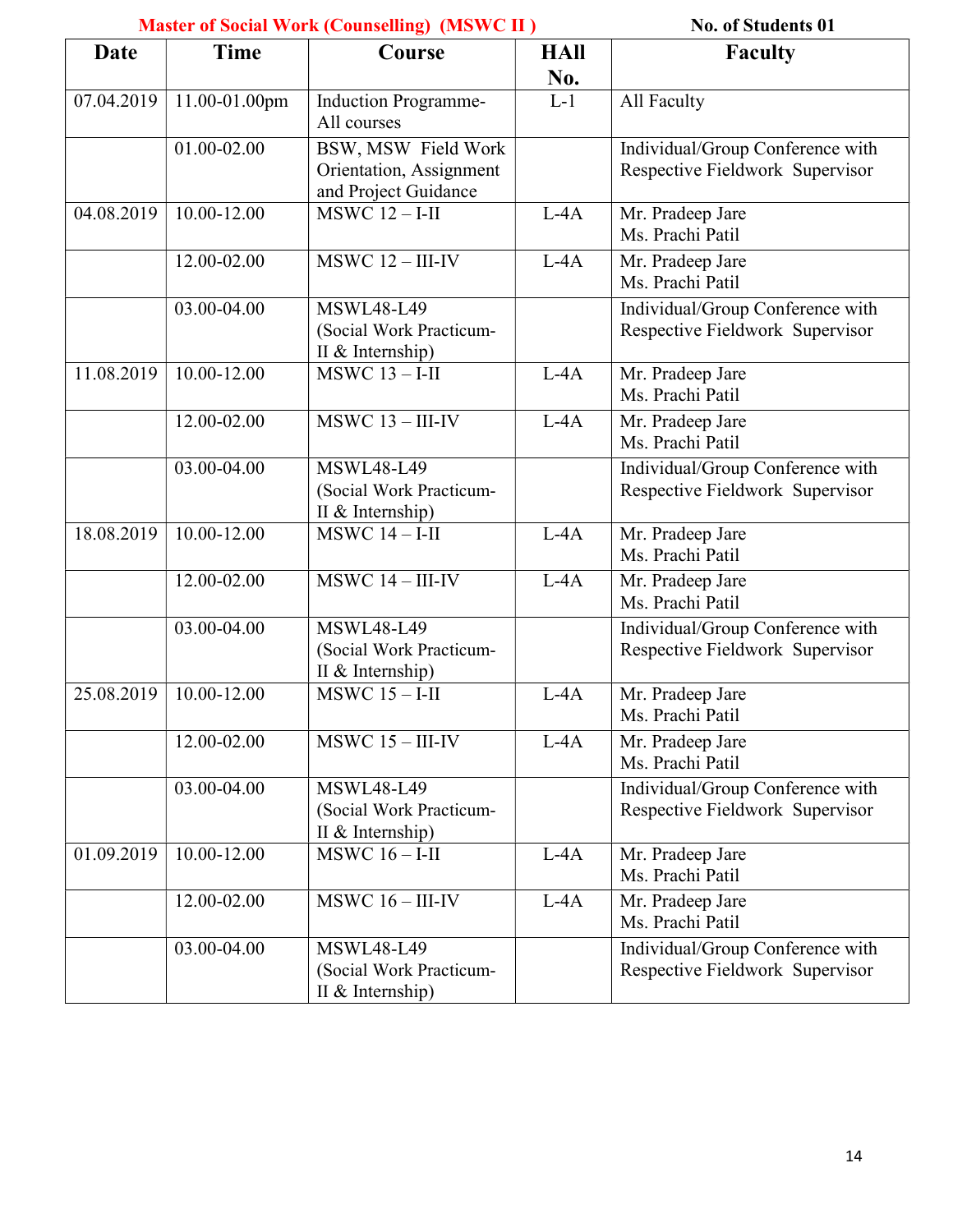### Master of Social Work (Counselling) (MSWC II ) No. of Students 01

|             | <b>Master of Social Work (Counseming)</b> (MSWC II) | <b>NO. OI SUGGEBRITS UT</b>                                            |                           |                                                                     |
|-------------|-----------------------------------------------------|------------------------------------------------------------------------|---------------------------|---------------------------------------------------------------------|
| <b>Date</b> | <b>Time</b>                                         | Course                                                                 | <b>HAll</b><br><b>No.</b> | <b>Faculty</b>                                                      |
| 07.04.2019  | 11.00-01.00pm                                       | Induction Programme-<br>All courses                                    | $L-1$                     | All Faculty                                                         |
|             | 01.00-02.00                                         | BSW, MSW Field Work<br>Orientation, Assignment<br>and Project Guidance |                           | Individual/Group Conference with<br>Respective Fieldwork Supervisor |
| 04.08.2019  | 10.00-12.00                                         | $MSWC 12 - I-II$                                                       | $L-4A$                    | Mr. Pradeep Jare<br>Ms. Prachi Patil                                |
|             | 12.00-02.00                                         | $MSWC$ 12 - III-IV                                                     | $L-4A$                    | Mr. Pradeep Jare<br>Ms. Prachi Patil                                |
|             | 03.00-04.00                                         | <b>MSWL48-L49</b><br>(Social Work Practicum-<br>II & Internship)       |                           | Individual/Group Conference with<br>Respective Fieldwork Supervisor |
| 11.08.2019  | 10.00-12.00                                         | $MSWC$ 13 - I-II                                                       | $L-4A$                    | Mr. Pradeep Jare<br>Ms. Prachi Patil                                |
|             | 12.00-02.00                                         | $MSWC$ 13 - III-IV                                                     | $L-4A$                    | Mr. Pradeep Jare<br>Ms. Prachi Patil                                |
|             | 03.00-04.00                                         | <b>MSWL48-L49</b><br>(Social Work Practicum-<br>II & Internship)       |                           | Individual/Group Conference with<br>Respective Fieldwork Supervisor |
| 18.08.2019  | 10.00-12.00                                         | $MSWC$ 14 - I-II                                                       | $L-4A$                    | Mr. Pradeep Jare<br>Ms. Prachi Patil                                |
|             | 12.00-02.00                                         | $\overline{\text{MSWC}}$ 14 - III-IV                                   | $L-4A$                    | Mr. Pradeep Jare<br>Ms. Prachi Patil                                |
|             | 03.00-04.00                                         | <b>MSWL48-L49</b><br>(Social Work Practicum-<br>II & Internship)       |                           | Individual/Group Conference with<br>Respective Fieldwork Supervisor |
| 25.08.2019  | 10.00-12.00                                         | $MSWC$ 15 - I-II                                                       | $L-4A$                    | Mr. Pradeep Jare<br>Ms. Prachi Patil                                |
|             | 12.00-02.00                                         | $MSWC$ 15 - III-IV                                                     | $L-4A$                    | Mr. Pradeep Jare<br>Ms. Prachi Patil                                |
|             | 03.00-04.00                                         | <b>MSWL48-L49</b><br>(Social Work Practicum-<br>II & Internship)       |                           | Individual/Group Conference with<br>Respective Fieldwork Supervisor |
| 01.09.2019  | $10.00 - 12.00$                                     | $\overline{\text{MSWC}}$ 16 - I-II                                     | $L-4A$                    | Mr. Pradeep Jare<br>Ms. Prachi Patil                                |
|             | 12.00-02.00                                         | $MSWC 16 - III-IV$                                                     | $L-4A$                    | Mr. Pradeep Jare<br>Ms. Prachi Patil                                |
|             | 03.00-04.00                                         | <b>MSWL48-L49</b><br>(Social Work Practicum-<br>II & Internship)       |                           | Individual/Group Conference with<br>Respective Fieldwork Supervisor |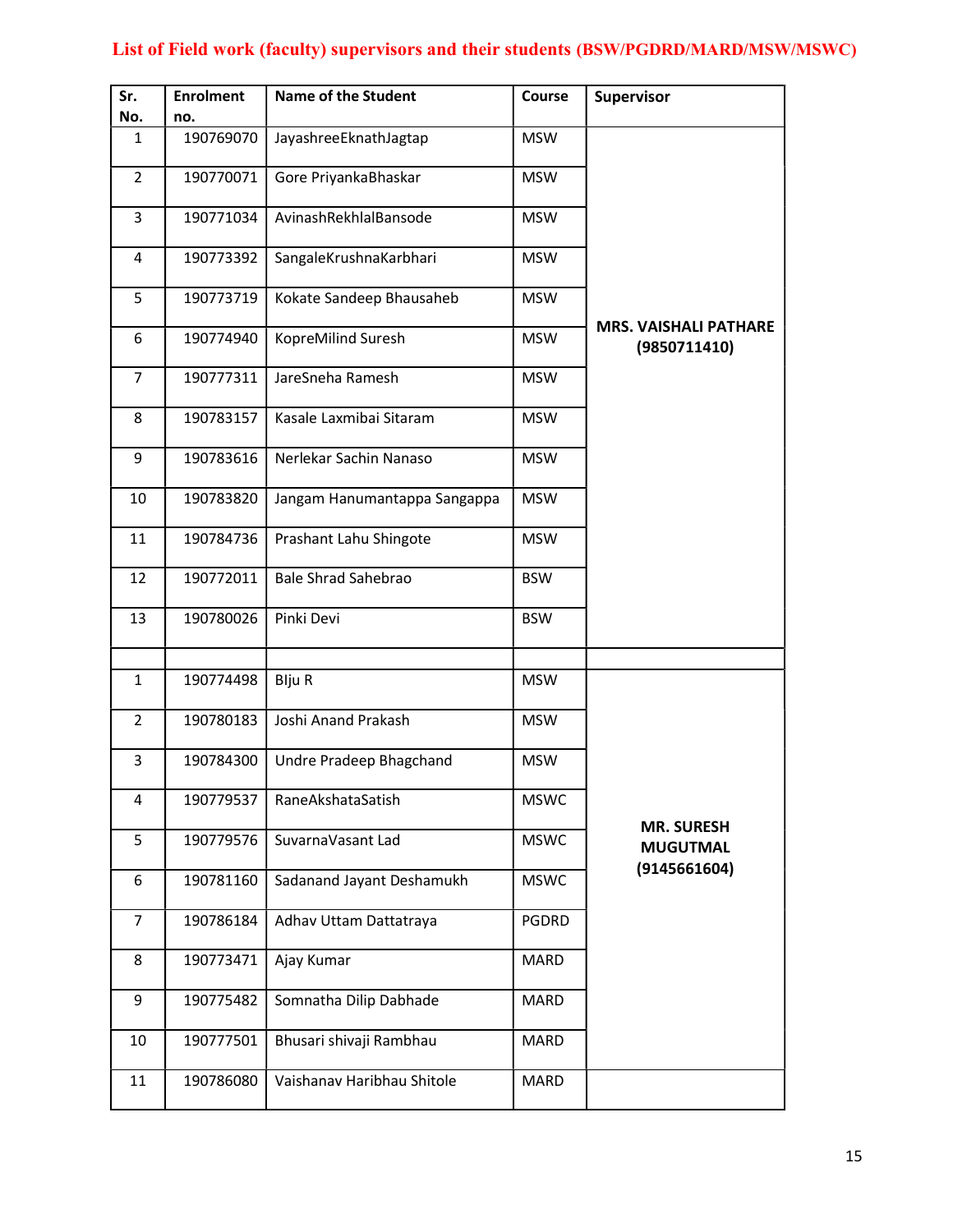#### List of Field work (faculty) supervisors and their students (BSW/PGDRD/MARD/MSW/MSWC)

| Sr.<br>No.     | <b>Enrolment</b><br>no. | <b>Name of the Student</b>   | Course      | <b>Supervisor</b>                            |
|----------------|-------------------------|------------------------------|-------------|----------------------------------------------|
|                |                         |                              |             |                                              |
| 1              | 190769070               | JayashreeEknathJagtap        | <b>MSW</b>  |                                              |
| $\overline{2}$ | 190770071               | Gore PriyankaBhaskar         | <b>MSW</b>  |                                              |
| 3              | 190771034               | AvinashRekhlalBansode        | <b>MSW</b>  |                                              |
| 4              | 190773392               | SangaleKrushnaKarbhari       | <b>MSW</b>  |                                              |
| 5              | 190773719               | Kokate Sandeep Bhausaheb     | <b>MSW</b>  |                                              |
| 6              | 190774940               | KopreMilind Suresh           | <b>MSW</b>  | <b>MRS. VAISHALI PATHARE</b><br>(9850711410) |
| 7              | 190777311               | JareSneha Ramesh             | <b>MSW</b>  |                                              |
| 8              | 190783157               | Kasale Laxmibai Sitaram      | <b>MSW</b>  |                                              |
| 9              | 190783616               | Nerlekar Sachin Nanaso       | <b>MSW</b>  |                                              |
| 10             | 190783820               | Jangam Hanumantappa Sangappa | <b>MSW</b>  |                                              |
| 11             | 190784736               | Prashant Lahu Shingote       | <b>MSW</b>  |                                              |
| 12             | 190772011               | <b>Bale Shrad Sahebrao</b>   | <b>BSW</b>  |                                              |
| 13             | 190780026               | Pinki Devi                   | <b>BSW</b>  |                                              |
|                |                         |                              |             |                                              |
| 1              | 190774498               | <b>Blju R</b>                | <b>MSW</b>  |                                              |
| 2              | 190780183               | Joshi Anand Prakash          | <b>MSW</b>  |                                              |
| 3              | 190784300               | Undre Pradeep Bhagchand      | <b>MSW</b>  |                                              |
| 4              | 190779537               | RaneAkshataSatish            | <b>MSWC</b> |                                              |
| 5              | 190779576               | SuvarnaVasant Lad            | <b>MSWC</b> | <b>MR. SURESH</b><br><b>MUGUTMAL</b>         |
| 6              | 190781160               | Sadanand Jayant Deshamukh    | <b>MSWC</b> | (9145661604)                                 |
| 7              | 190786184               | Adhav Uttam Dattatraya       | PGDRD       |                                              |
| 8              | 190773471               | Ajay Kumar                   | MARD        |                                              |
| 9              | 190775482               | Somnatha Dilip Dabhade       | MARD        |                                              |
| 10             | 190777501               | Bhusari shivaji Rambhau      | MARD        |                                              |
| 11             | 190786080               | Vaishanav Haribhau Shitole   | MARD        |                                              |